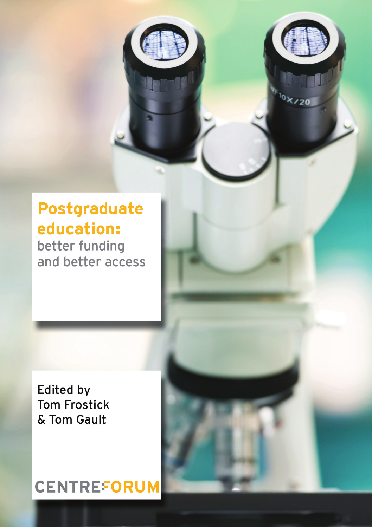# **Postgraduate** education:

 $6x/2$ 

better funding and better access

**Edited by Tom Frostick** & Tom Gault

# **CENTREFORUM**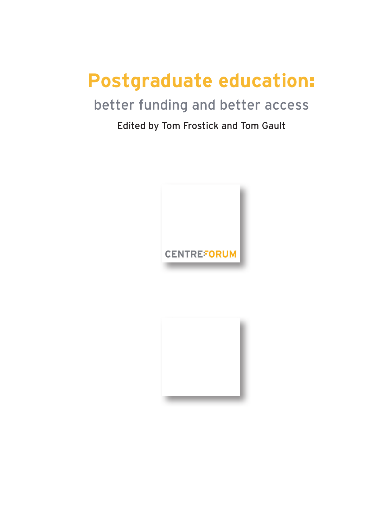# **Postgraduate education**:

## better funding and better access

### Edited by Tom Frostick and Tom Gault



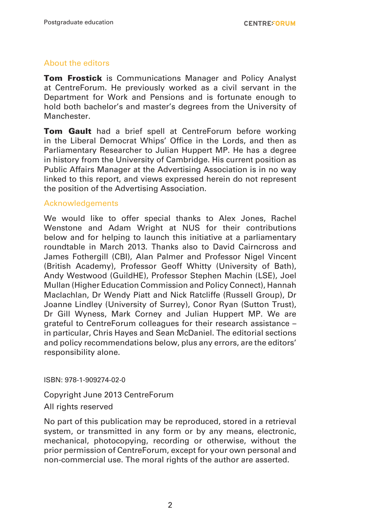#### About the editors

**Tom Frostick** is Communications Manager and Policy Analyst at CentreForum. He previously worked as a civil servant in the Department for Work and Pensions and is fortunate enough to hold both bachelor's and master's degrees from the University of **Manchester** 

**Tom Gault** had a brief spell at CentreForum before working in the Liberal Democrat Whips' Office in the Lords, and then as Parliamentary Researcher to Julian Huppert MP. He has a degree in history from the University of Cambridge. His current position as Public Affairs Manager at the Advertising Association is in no way linked to this report, and views expressed herein do not represent the position of the Advertising Association.

#### Acknowledgements

We would like to offer special thanks to Alex Jones, Rachel Wenstone and Adam Wright at NUS for their contributions below and for helping to launch this initiative at a parliamentary roundtable in March 2013. Thanks also to David Cairncross and James Fothergill (CBI), Alan Palmer and Professor Nigel Vincent (British Academy), Professor Geoff Whitty (University of Bath), Andy Westwood (GuildHE), Professor Stephen Machin (LSE), Joel Mullan (Higher Education Commission and Policy Connect), Hannah Maclachlan, Dr Wendy Piatt and Nick Ratcliffe (Russell Group), Dr Joanne Lindley (University of Surrey), Conor Ryan (Sutton Trust), Dr Gill Wyness, Mark Corney and Julian Huppert MP. We are grateful to CentreForum colleagues for their research assistance – in particular, Chris Hayes and Sean McDaniel. The editorial sections and policy recommendations below, plus any errors, are the editors' responsibility alone.

ISBN: 978-1-909274-02-0

Copyright June 2013 CentreForum

All rights reserved

No part of this publication may be reproduced, stored in a retrieval system, or transmitted in any form or by any means, electronic, mechanical, photocopying, recording or otherwise, without the prior permission of CentreForum, except for your own personal and non-commercial use. The moral rights of the author are asserted.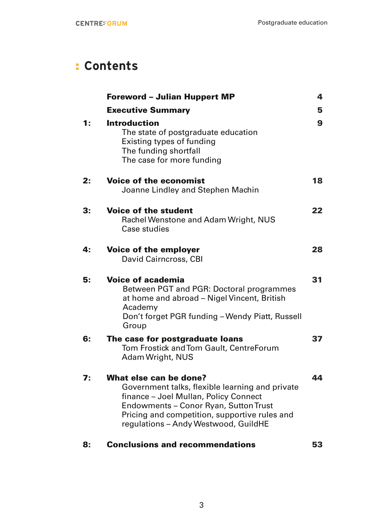## : **Contents**

|              | <b>Foreword - Julian Huppert MP</b>                                                                                                                                                                                                                  | 4            |
|--------------|------------------------------------------------------------------------------------------------------------------------------------------------------------------------------------------------------------------------------------------------------|--------------|
|              | <b>Executive Summary</b>                                                                                                                                                                                                                             | 5            |
| $\ddagger$ : | <b>Introduction</b><br>The state of postgraduate education<br>Existing types of funding<br>The funding shortfall<br>The case for more funding                                                                                                        | $\mathbf{9}$ |
| 2:           | <b>Voice of the economist</b><br>Joanne Lindley and Stephen Machin                                                                                                                                                                                   | 18           |
| 3:           | <b>Voice of the student</b><br>Rachel Wenstone and Adam Wright, NUS<br>Case studies                                                                                                                                                                  | 22           |
| 4:           | Voice of the employer<br>David Cairncross, CBI                                                                                                                                                                                                       | 28           |
| 5:           | <b>Voice of academia</b><br>Between PGT and PGR: Doctoral programmes<br>at home and abroad - Nigel Vincent, British<br>Academy<br>Don't forget PGR funding - Wendy Piatt, Russell<br>Group                                                           | 31           |
| 6:           | The case for postgraduate loans<br>Tom Frostick and Tom Gault, CentreForum<br>Adam Wright, NUS                                                                                                                                                       | 37           |
| 7:           | What else can be done?<br>Government talks, flexible learning and private<br>finance - Joel Mullan, Policy Connect<br>Endowments - Conor Ryan, Sutton Trust<br>Pricing and competition, supportive rules and<br>regulations - Andy Westwood, GuildHE | 44           |
| 8:           | <b>Conclusions and recommendations</b>                                                                                                                                                                                                               | 53           |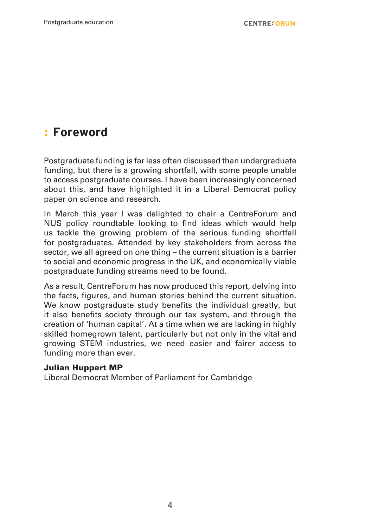## : **Foreword**

Postgraduate funding is far less often discussed than undergraduate funding, but there is a growing shortfall, with some people unable to access postgraduate courses. I have been increasingly concerned about this, and have highlighted it in a Liberal Democrat policy paper on science and research.

In March this year I was delighted to chair a CentreForum and NUS policy roundtable looking to find ideas which would help us tackle the growing problem of the serious funding shortfall for postgraduates. Attended by key stakeholders from across the sector, we all agreed on one thing – the current situation is a barrier to social and economic progress in the UK, and economically viable postgraduate funding streams need to be found.

As a result, CentreForum has now produced this report, delving into the facts, figures, and human stories behind the current situation. We know postgraduate study benefits the individual greatly, but it also benefits society through our tax system, and through the creation of 'human capital'. At a time when we are lacking in highly skilled homegrown talent, particularly but not only in the vital and growing STEM industries, we need easier and fairer access to funding more than ever.

#### Julian Huppert MP

Liberal Democrat Member of Parliament for Cambridge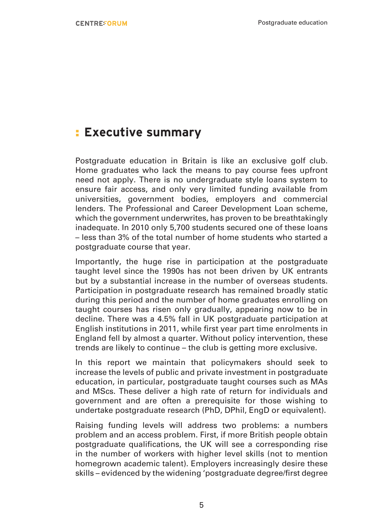## : **Executive summary**

Postgraduate education in Britain is like an exclusive golf club. Home graduates who lack the means to pay course fees upfront need not apply. There is no undergraduate style loans system to ensure fair access, and only very limited funding available from universities, government bodies, employers and commercial lenders. The Professional and Career Development Loan scheme, which the government underwrites, has proven to be breathtakingly inadequate. In 2010 only 5,700 students secured one of these loans – less than 3% of the total number of home students who started a postgraduate course that year.

Importantly, the huge rise in participation at the postgraduate taught level since the 1990s has not been driven by UK entrants but by a substantial increase in the number of overseas students. Participation in postgraduate research has remained broadly static during this period and the number of home graduates enrolling on taught courses has risen only gradually, appearing now to be in decline. There was a 4.5% fall in UK postgraduate participation at English institutions in 2011, while first year part time enrolments in England fell by almost a quarter. Without policy intervention, these trends are likely to continue – the club is getting more exclusive.

In this report we maintain that policymakers should seek to increase the levels of public and private investment in postgraduate education, in particular, postgraduate taught courses such as MAs and MScs. These deliver a high rate of return for individuals and government and are often a prerequisite for those wishing to undertake postgraduate research (PhD, DPhil, EngD or equivalent).

Raising funding levels will address two problems: a numbers problem and an access problem. First, if more British people obtain postgraduate qualifications, the UK will see a corresponding rise in the number of workers with higher level skills (not to mention homegrown academic talent). Employers increasingly desire these skills – evidenced by the widening 'postgraduate degree/first degree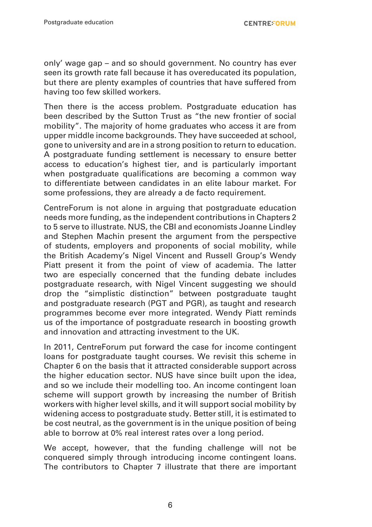only' wage gap – and so should government. No country has ever seen its growth rate fall because it has overeducated its population, but there are plenty examples of countries that have suffered from having too few skilled workers.

Then there is the access problem. Postgraduate education has been described by the Sutton Trust as "the new frontier of social mobility". The majority of home graduates who access it are from upper middle income backgrounds. They have succeeded at school, gone to university and are in a strong position to return to education. A postgraduate funding settlement is necessary to ensure better access to education's highest tier, and is particularly important when postgraduate qualifications are becoming a common way to differentiate between candidates in an elite labour market. For some professions, they are already a de facto requirement.

CentreForum is not alone in arguing that postgraduate education needs more funding, as the independent contributions in Chapters 2 to 5 serve to illustrate. NUS, the CBI and economists Joanne Lindley and Stephen Machin present the argument from the perspective of students, employers and proponents of social mobility, while the British Academy's Nigel Vincent and Russell Group's Wendy Piatt present it from the point of view of academia. The latter two are especially concerned that the funding debate includes postgraduate research, with Nigel Vincent suggesting we should drop the "simplistic distinction" between postgraduate taught and postgraduate research (PGT and PGR), as taught and research programmes become ever more integrated. Wendy Piatt reminds us of the importance of postgraduate research in boosting growth and innovation and attracting investment to the UK.

In 2011, CentreForum put forward the case for income contingent loans for postgraduate taught courses. We revisit this scheme in Chapter 6 on the basis that it attracted considerable support across the higher education sector. NUS have since built upon the idea, and so we include their modelling too. An income contingent loan scheme will support growth by increasing the number of British workers with higher level skills, and it will support social mobility by widening access to postgraduate study. Better still, it is estimated to be cost neutral, as the government is in the unique position of being able to borrow at 0% real interest rates over a long period.

We accept, however, that the funding challenge will not be conquered simply through introducing income contingent loans. The contributors to Chapter 7 illustrate that there are important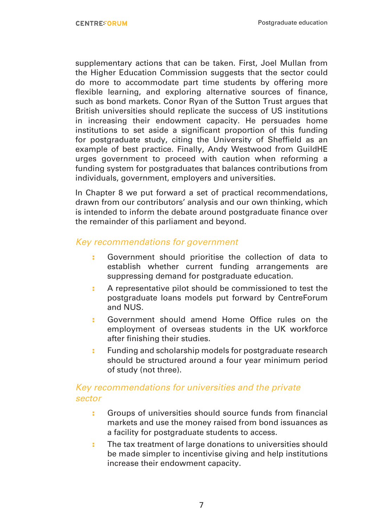supplementary actions that can be taken. First, Joel Mullan from the Higher Education Commission suggests that the sector could do more to accommodate part time students by offering more flexible learning, and exploring alternative sources of finance, such as bond markets. Conor Ryan of the Sutton Trust argues that British universities should replicate the success of US institutions in increasing their endowment capacity. He persuades home institutions to set aside a significant proportion of this funding for postgraduate study, citing the University of Sheffield as an example of best practice. Finally, Andy Westwood from GuildHE urges government to proceed with caution when reforming a funding system for postgraduates that balances contributions from individuals, government, employers and universities.

In Chapter 8 we put forward a set of practical recommendations, drawn from our contributors' analysis and our own thinking, which is intended to inform the debate around postgraduate finance over the remainder of this parliament and beyond.

#### *Key recommendations for government*

- : Government should prioritise the collection of data to establish whether current funding arrangements are suppressing demand for postgraduate education.
- : A representative pilot should be commissioned to test the postgraduate loans models put forward by CentreForum and NUS.
- : Government should amend Home Office rules on the employment of overseas students in the UK workforce after finishing their studies.
- **:** Funding and scholarship models for postgraduate research should be structured around a four year minimum period of study (not three).

#### *Key recommendations for universities and the private sector*

- : Groups of universities should source funds from financial markets and use the money raised from bond issuances as a facility for postgraduate students to access.
- : The tax treatment of large donations to universities should be made simpler to incentivise giving and help institutions increase their endowment capacity.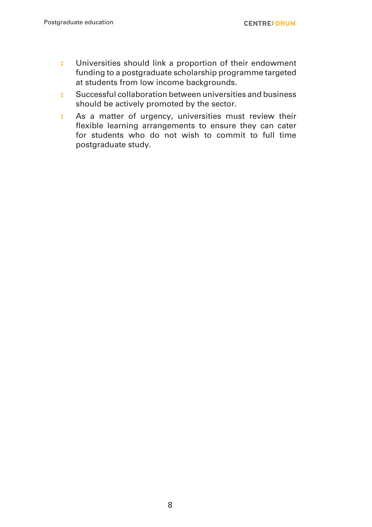- : Universities should link a proportion of their endowment funding to a postgraduate scholarship programme targeted at students from low income backgrounds.
- : Successful collaboration between universities and business should be actively promoted by the sector.
- : As a matter of urgency, universities must review their flexible learning arrangements to ensure they can cater for students who do not wish to commit to full time postgraduate study.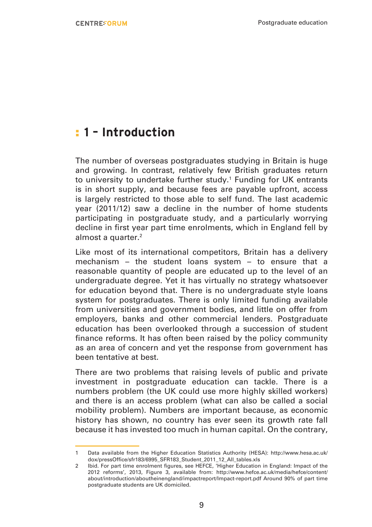## : **1 – Introduction**

The number of overseas postgraduates studying in Britain is huge and growing. In contrast, relatively few British graduates return to university to undertake further study.<sup>1</sup> Funding for UK entrants is in short supply, and because fees are payable upfront, access is largely restricted to those able to self fund. The last academic year (2011/12) saw a decline in the number of home students participating in postgraduate study, and a particularly worrying decline in first year part time enrolments, which in England fell by almost a quarter.<sup>2</sup>

Like most of its international competitors, Britain has a delivery mechanism – the student loans system – to ensure that a reasonable quantity of people are educated up to the level of an undergraduate degree. Yet it has virtually no strategy whatsoever for education beyond that. There is no undergraduate style loans system for postgraduates. There is only limited funding available from universities and government bodies, and little on offer from employers, banks and other commercial lenders. Postgraduate education has been overlooked through a succession of student finance reforms. It has often been raised by the policy community as an area of concern and yet the response from government has been tentative at best.

There are two problems that raising levels of public and private investment in postgraduate education can tackle. There is a numbers problem (the UK could use more highly skilled workers) and there is an access problem (what can also be called a social mobility problem). Numbers are important because, as economic history has shown, no country has ever seen its growth rate fall because it has invested too much in human capital. On the contrary,

<sup>1</sup> Data available from the Higher Education Statistics Authority (HESA): http://www.hesa.ac.uk/ dox/pressOffice/sfr183/6995\_SFR183\_Student\_2011\_12\_All\_tables.xls

<sup>2</sup> Ibid. For part time enrolment figures, see HEFCE, 'Higher Education in England: Impact of the 2012 reforms', 2013, Figure 3, available from: http://www.hefce.ac.uk/media/hefce/content/ about/introduction/aboutheinengland/impactreport/Impact-report.pdf Around 90% of part time postgraduate students are UK domiciled.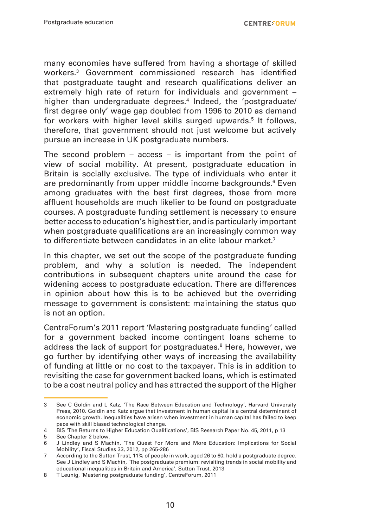many economies have suffered from having a shortage of skilled workers.3 Government commissioned research has identified that postgraduate taught and research qualifications deliver an extremely high rate of return for individuals and government – higher than undergraduate degrees.<sup>4</sup> Indeed, the 'postgraduate/ first degree only' wage gap doubled from 1996 to 2010 as demand for workers with higher level skills surged upwards.5 It follows, therefore, that government should not just welcome but actively pursue an increase in UK postgraduate numbers.

The second problem – access – is important from the point of view of social mobility. At present, postgraduate education in Britain is socially exclusive. The type of individuals who enter it are predominantly from upper middle income backgrounds.<sup>6</sup> Even among graduates with the best first degrees, those from more affluent households are much likelier to be found on postgraduate courses. A postgraduate funding settlement is necessary to ensure better access to education's highest tier, and is particularly important when postgraduate qualifications are an increasingly common way to differentiate between candidates in an elite labour market.7

In this chapter, we set out the scope of the postgraduate funding problem, and why a solution is needed. The independent contributions in subsequent chapters unite around the case for widening access to postgraduate education. There are differences in opinion about how this is to be achieved but the overriding message to government is consistent: maintaining the status quo is not an option.

CentreForum's 2011 report 'Mastering postgraduate funding' called for a government backed income contingent loans scheme to address the lack of support for postgraduates.<sup>8</sup> Here, however, we go further by identifying other ways of increasing the availability of funding at little or no cost to the taxpayer. This is in addition to revisiting the case for government backed loans, which is estimated to be a cost neutral policy and has attracted the support of the Higher

<sup>3</sup> See C Goldin and L Katz, 'The Race Between Education and Technology', Harvard University Press, 2010. Goldin and Katz argue that investment in human capital is a central determinant of economic growth. Inequalities have arisen when investment in human capital has failed to keep pace with skill biased technological change.

<sup>4</sup> BIS 'The Returns to Higher Education Qualifications', BIS Research Paper No. 45, 2011, p 13

<sup>5</sup> See Chapter 2 below.<br>6 Lindley and S Mag

<sup>6</sup> J Lindley and S Machin, 'The Quest For More and More Education: Implications for Social Mobility', Fiscal Studies 33, 2012, pp 265-286

<sup>7</sup> According to the Sutton Trust, 11% of people in work, aged 26 to 60, hold a postgraduate degree. See J Lindley and S Machin, 'The postgraduate premium: revisiting trends in social mobility and educational inequalities in Britain and America', Sutton Trust, 2013

<sup>8</sup> T Leunig, 'Mastering postgraduate funding', CentreForum, 2011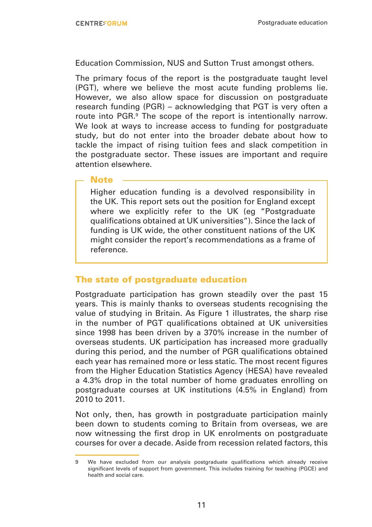Education Commission, NUS and Sutton Trust amongst others.

The primary focus of the report is the postgraduate taught level (PGT), where we believe the most acute funding problems lie. However, we also allow space for discussion on postgraduate research funding (PGR) – acknowledging that PGT is very often a route into PGR.<sup>9</sup> The scope of the report is intentionally narrow. We look at ways to increase access to funding for postgraduate study, but do not enter into the broader debate about how to tackle the impact of rising tuition fees and slack competition in the postgraduate sector. These issues are important and require attention elsewhere.

#### **Note**

Higher education funding is a devolved responsibility in the UK. This report sets out the position for England except where we explicitly refer to the UK (eg "Postgraduate qualifications obtained at UK universities"). Since the lack of funding is UK wide, the other constituent nations of the UK might consider the report's recommendations as a frame of reference.

#### The state of postgraduate education

Postgraduate participation has grown steadily over the past 15 years. This is mainly thanks to overseas students recognising the value of studying in Britain. As Figure 1 illustrates, the sharp rise in the number of PGT qualifications obtained at UK universities since 1998 has been driven by a 370% increase in the number of overseas students. UK participation has increased more gradually during this period, and the number of PGR qualifications obtained each year has remained more or less static. The most recent figures from the Higher Education Statistics Agency (HESA) have revealed a 4.3% drop in the total number of home graduates enrolling on postgraduate courses at UK institutions (4.5% in England) from 2010 to 2011.

Not only, then, has growth in postgraduate participation mainly been down to students coming to Britain from overseas, we are now witnessing the first drop in UK enrolments on postgraduate courses for over a decade. Aside from recession related factors, this

<sup>9</sup> We have excluded from our analysis postgraduate qualifications which already receive significant levels of support from government. This includes training for teaching (PGCE) and health and social care.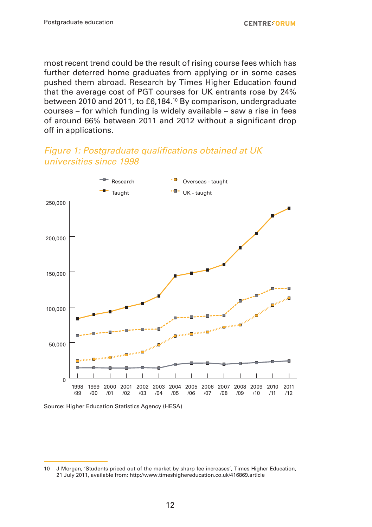most recent trend could be the result of rising course fees which has further deterred home graduates from applying or in some cases pushed them abroad. Research by Times Higher Education found that the average cost of PGT courses for UK entrants rose by 24% between 2010 and 2011, to £6,184.<sup>10</sup> By comparison, undergraduate courses – for which funding is widely available – saw a rise in fees of around 66% between 2011 and 2012 without a significant drop off in applications.

#### Figure 1: Postgraduate qualifications obtained at UK *universities since 1998*



Source: Higher Education Statistics Agency (HESA)

<sup>10</sup> J Morgan, 'Students priced out of the market by sharp fee increases', Times Higher Education, 21 July 2011, available from: http://www.timeshighereducation.co.uk/416869.article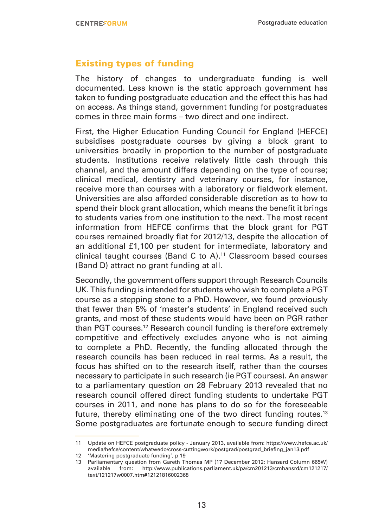#### Existing types of funding

The history of changes to undergraduate funding is well documented. Less known is the static approach government has taken to funding postgraduate education and the effect this has had on access. As things stand, government funding for postgraduates comes in three main forms – two direct and one indirect.

First, the Higher Education Funding Council for England (HEFCE) subsidises postgraduate courses by giving a block grant to universities broadly in proportion to the number of postgraduate students. Institutions receive relatively little cash through this channel, and the amount differs depending on the type of course; clinical medical, dentistry and veterinary courses, for instance, receive more than courses with a laboratory or fieldwork element. Universities are also afforded considerable discretion as to how to spend their block grant allocation, which means the benefit it brings to students varies from one institution to the next. The most recent information from HEFCE confirms that the block grant for PGT courses remained broadly flat for 2012/13, despite the allocation of an additional £1,100 per student for intermediate, laboratory and clinical taught courses (Band C to A).<sup>11</sup> Classroom based courses (Band D) attract no grant funding at all.

Secondly, the government offers support through Research Councils UK. This funding is intended for students who wish to complete a PGT course as a stepping stone to a PhD. However, we found previously that fewer than 5% of 'master's students' in England received such grants, and most of these students would have been on PGR rather than PGT courses.<sup>12</sup> Research council funding is therefore extremely competitive and effectively excludes anyone who is not aiming to complete a PhD. Recently, the funding allocated through the research councils has been reduced in real terms. As a result, the focus has shifted on to the research itself, rather than the courses necessary to participate in such research (ie PGT courses). An answer to a parliamentary question on 28 February 2013 revealed that no research council offered direct funding students to undertake PGT courses in 2011, and none has plans to do so for the foreseeable future, thereby eliminating one of the two direct funding routes.<sup>13</sup> Some postgraduates are fortunate enough to secure funding direct

12 'Mastering postgraduate funding', p 19

<sup>11</sup> Update on HEFCE postgraduate policy - January 2013, available from: https://www.hefce.ac.uk/ media/hefce/content/whatwedo/cross-cuttingwork/postgrad/postgrad\_briefing\_jan13.pdf

<sup>13</sup> Parliamentary question from Gareth Thomas MP (17 December 2012: Hansard Column 665W) available from: http://www.publications.parliament.uk/pa/cm201213/cmhansrd/cm121217/ text/121217w0007.htm#12121816002368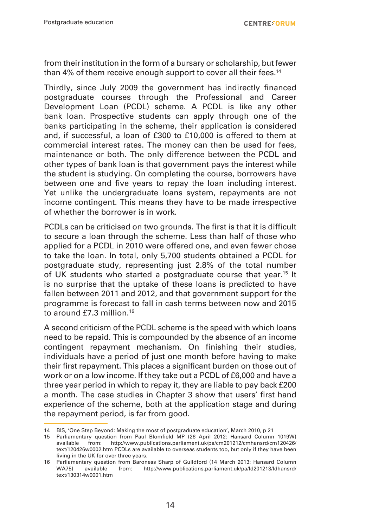from their institution in the form of a bursary or scholarship, but fewer than 4% of them receive enough support to cover all their fees.<sup>14</sup>

Thirdly, since July 2009 the government has indirectly financed postgraduate courses through the Professional and Career Development Loan (PCDL) scheme. A PCDL is like any other bank loan. Prospective students can apply through one of the banks participating in the scheme, their application is considered and, if successful, a loan of £300 to £10,000 is offered to them at commercial interest rates. The money can then be used for fees, maintenance or both. The only difference between the PCDL and other types of bank loan is that government pays the interest while the student is studying. On completing the course, borrowers have between one and five years to repay the loan including interest. Yet unlike the undergraduate loans system, repayments are not income contingent. This means they have to be made irrespective of whether the borrower is in work.

PCDLs can be criticised on two grounds. The first is that it is difficult to secure a loan through the scheme. Less than half of those who applied for a PCDL in 2010 were offered one, and even fewer chose to take the loan. In total, only 5,700 students obtained a PCDL for postgraduate study, representing just 2.8% of the total number of UK students who started a postgraduate course that year.<sup>15</sup> It is no surprise that the uptake of these loans is predicted to have fallen between 2011 and 2012, and that government support for the programme is forecast to fall in cash terms between now and 2015 to around £7.3 million.<sup>16</sup>

A second criticism of the PCDL scheme is the speed with which loans need to be repaid. This is compounded by the absence of an income contingent repayment mechanism. On finishing their studies, individuals have a period of just one month before having to make their first repayment. This places a significant burden on those out of work or on a low income. If they take out a PCDL of £6,000 and have a three year period in which to repay it, they are liable to pay back £200 a month. The case studies in Chapter 3 show that users' first hand experience of the scheme, both at the application stage and during the repayment period, is far from good.

<sup>14</sup> BIS, 'One Step Beyond: Making the most of postgraduate education', March 2010, p 21

<sup>15</sup> Parliamentary question from Paul Blomfield MP (26 April 2012: Hansard Column 1019W) available from: http://www.publications.parliament.uk/pa/cm201212/cmhansrd/cm120426/ text/120426w0002.htm PCDLs are available to overseas students too, but only if they have been living in the UK for over three years.

<sup>16</sup> Parliamentary question from Baroness Sharp of Guildford (14 March 2013: Hansard Column WA75) available from: http://www.publications.parliament.uk/pa/ld201213/ldhansrd/ text/130314w0001.htm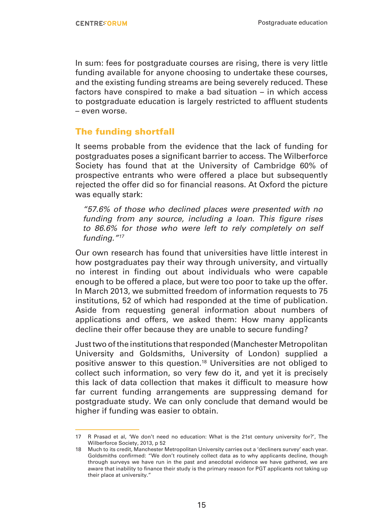In sum: fees for postgraduate courses are rising, there is very little funding available for anyone choosing to undertake these courses, and the existing funding streams are being severely reduced. These factors have conspired to make a bad situation – in which access to postgraduate education is largely restricted to affluent students – even worse.

#### The funding shortfall

It seems probable from the evidence that the lack of funding for postgraduates poses a significant barrier to access. The Wilberforce Society has found that at the University of Cambridge 60% of prospective entrants who were offered a place but subsequently rejected the offer did so for financial reasons. At Oxford the picture was equally stark:

*"57.6% of those who declined places were presented with no*  funding from any source, including a loan. This figure rises *to 86.6% for those who were left to rely completely on self funding."17*

Our own research has found that universities have little interest in how postgraduates pay their way through university, and virtually no interest in finding out about individuals who were capable enough to be offered a place, but were too poor to take up the offer. In March 2013, we submitted freedom of information requests to 75 institutions, 52 of which had responded at the time of publication. Aside from requesting general information about numbers of applications and offers, we asked them: How many applicants decline their offer because they are unable to secure funding?

Just two of the institutions that responded (Manchester Metropolitan University and Goldsmiths, University of London) supplied a positive answer to this question.18 Universities are not obliged to collect such information, so very few do it, and yet it is precisely this lack of data collection that makes it difficult to measure how far current funding arrangements are suppressing demand for postgraduate study. We can only conclude that demand would be higher if funding was easier to obtain.

<sup>17</sup> R Prasad et al, 'We don't need no education: What is the 21st century university for?', The Wilberforce Society, 2013, p.52

<sup>18</sup> Much to its credit, Manchester Metropolitan University carries out a 'decliners survey' each year. Goldsmiths confirmed: "We don't routinely collect data as to why applicants decline, though through surveys we have run in the past and anecdotal evidence we have gathered, we are aware that inability to finance their study is the primary reason for PGT applicants not taking up their place at university."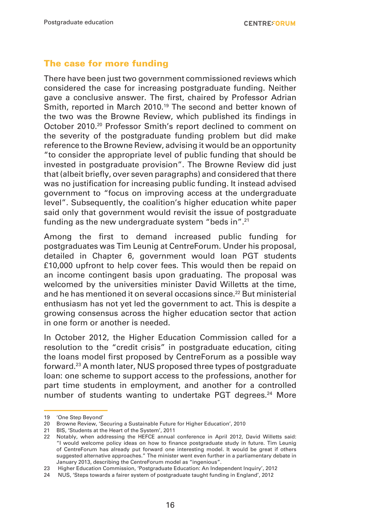#### The case for more funding

There have been just two government commissioned reviews which considered the case for increasing postgraduate funding. Neither gave a conclusive answer. The first, chaired by Professor Adrian Smith, reported in March 2010.<sup>19</sup> The second and better known of the two was the Browne Review, which published its findings in October 2010.20 Professor Smith's report declined to comment on the severity of the postgraduate funding problem but did make reference to the Browne Review, advising it would be an opportunity "to consider the appropriate level of public funding that should be invested in postgraduate provision". The Browne Review did just that (albeit briefly, over seven paragraphs) and considered that there was no justification for increasing public funding. It instead advised government to "focus on improving access at the undergraduate level". Subsequently, the coalition's higher education white paper said only that government would revisit the issue of postgraduate funding as the new undergraduate system "beds in".21

Among the first to demand increased public funding for postgraduates was Tim Leunig at CentreForum. Under his proposal, detailed in Chapter 6, government would loan PGT students £10,000 upfront to help cover fees. This would then be repaid on an income contingent basis upon graduating. The proposal was welcomed by the universities minister David Willetts at the time, and he has mentioned it on several occasions since.22 But ministerial enthusiasm has not yet led the government to act. This is despite a growing consensus across the higher education sector that action in one form or another is needed.

In October 2012, the Higher Education Commission called for a resolution to the "credit crisis" in postgraduate education, citing the loans model first proposed by CentreForum as a possible way forward.23 A month later, NUS proposed three types of postgraduate loan: one scheme to support access to the professions, another for part time students in employment, and another for a controlled number of students wanting to undertake PGT degrees.<sup>24</sup> More

<sup>19</sup> 'One Step Beyond'

<sup>20</sup> Browne Review, 'Securing a Sustainable Future for Higher Education', 2010

<sup>21</sup> BIS, 'Students at the Heart of the System', 2011

<sup>22</sup> Notably, when addressing the HEFCE annual conference in April 2012, David Willetts said: "I would welcome policy ideas on how to finance postgraduate study in future. Tim Leunig of CentreForum has already put forward one interesting model. It would be great if others suggested alternative approaches." The minister went even further in a parliamentary debate in January 2013, describing the CentreForum model as "ingenious".

<sup>23</sup> Higher Education Commission, 'Postgraduate Education: An Independent Inquiry', 2012

<sup>24</sup> NUS, 'Steps towards a fairer system of postgraduate taught funding in England', 2012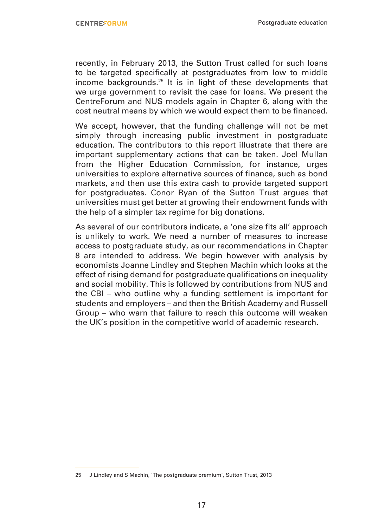recently, in February 2013, the Sutton Trust called for such loans to be targeted specifically at postgraduates from low to middle income backgrounds.25 It is in light of these developments that we urge government to revisit the case for loans. We present the CentreForum and NUS models again in Chapter 6, along with the cost neutral means by which we would expect them to be financed.

We accept, however, that the funding challenge will not be met simply through increasing public investment in postgraduate education. The contributors to this report illustrate that there are important supplementary actions that can be taken. Joel Mullan from the Higher Education Commission, for instance, urges universities to explore alternative sources of finance, such as bond markets, and then use this extra cash to provide targeted support for postgraduates. Conor Ryan of the Sutton Trust argues that universities must get better at growing their endowment funds with the help of a simpler tax regime for big donations.

As several of our contributors indicate, a 'one size fits all' approach is unlikely to work. We need a number of measures to increase access to postgraduate study, as our recommendations in Chapter 8 are intended to address. We begin however with analysis by economists Joanne Lindley and Stephen Machin which looks at the effect of rising demand for postgraduate qualifications on inequality and social mobility. This is followed by contributions from NUS and the CBI – who outline why a funding settlement is important for students and employers – and then the British Academy and Russell Group – who warn that failure to reach this outcome will weaken the UK's position in the competitive world of academic research.

<sup>25</sup> J Lindley and S Machin, 'The postgraduate premium', Sutton Trust, 2013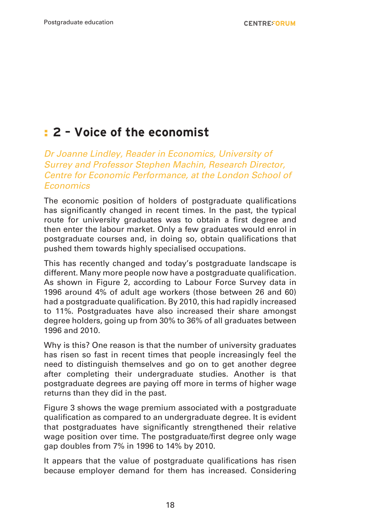## : **2 – Voice of the economist**

Dr Joanne Lindley, Reader in Economics, University of *Surrey and Professor Stephen Machin, Research Director, Centre for Economic Performance, at the London School of Economics*

The economic position of holders of postgraduate qualifications has significantly changed in recent times. In the past, the typical route for university graduates was to obtain a first degree and then enter the labour market. Only a few graduates would enrol in postgraduate courses and, in doing so, obtain qualifications that pushed them towards highly specialised occupations.

This has recently changed and today's postgraduate landscape is different. Many more people now have a postgraduate qualification. As shown in Figure 2, according to Labour Force Survey data in 1996 around 4% of adult age workers (those between 26 and 60) had a postgraduate qualification. By 2010, this had rapidly increased to 11%. Postgraduates have also increased their share amongst degree holders, going up from 30% to 36% of all graduates between 1996 and 2010.

Why is this? One reason is that the number of university graduates has risen so fast in recent times that people increasingly feel the need to distinguish themselves and go on to get another degree after completing their undergraduate studies. Another is that postgraduate degrees are paying off more in terms of higher wage returns than they did in the past.

Figure 3 shows the wage premium associated with a postgraduate qualification as compared to an undergraduate degree. It is evident that postgraduates have significantly strengthened their relative wage position over time. The postgraduate/first degree only wage gap doubles from 7% in 1996 to 14% by 2010.

It appears that the value of postgraduate qualifications has risen because employer demand for them has increased. Considering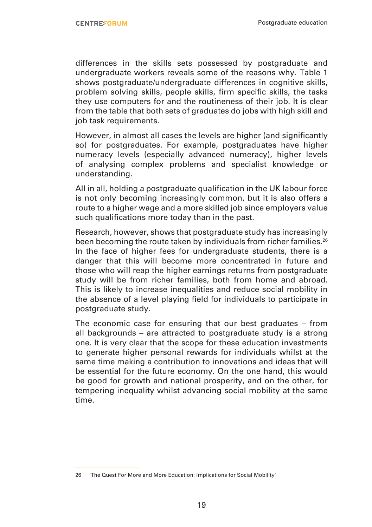differences in the skills sets possessed by postgraduate and undergraduate workers reveals some of the reasons why. Table 1 shows postgraduate/undergraduate differences in cognitive skills, problem solving skills, people skills, firm specific skills, the tasks they use computers for and the routineness of their job. It is clear from the table that both sets of graduates do jobs with high skill and job task requirements.

However, in almost all cases the levels are higher (and significantly so) for postgraduates. For example, postgraduates have higher numeracy levels (especially advanced numeracy), higher levels of analysing complex problems and specialist knowledge or understanding.

All in all, holding a postgraduate qualification in the UK labour force is not only becoming increasingly common, but it is also offers a route to a higher wage and a more skilled job since employers value such qualifications more today than in the past.

Research, however, shows that postgraduate study has increasingly been becoming the route taken by individuals from richer families.<sup>26</sup> In the face of higher fees for undergraduate students, there is a danger that this will become more concentrated in future and those who will reap the higher earnings returns from postgraduate study will be from richer families, both from home and abroad. This is likely to increase inequalities and reduce social mobility in the absence of a level playing field for individuals to participate in postgraduate study.

The economic case for ensuring that our best graduates – from all backgrounds – are attracted to postgraduate study is a strong one. It is very clear that the scope for these education investments to generate higher personal rewards for individuals whilst at the same time making a contribution to innovations and ideas that will be essential for the future economy. On the one hand, this would be good for growth and national prosperity, and on the other, for tempering inequality whilst advancing social mobility at the same time.

<sup>26</sup> 'The Quest For More and More Education: Implications for Social Mobility'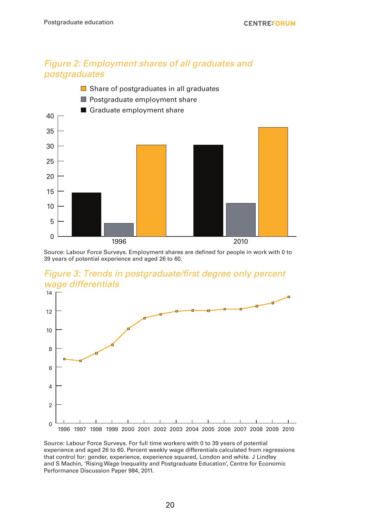#### *Figure 2: Employment shares of all graduates and postgraduates*



Source: Labour Force Surveys. Employment shares are defined for people in work with 0 to 39 years of potential experience and aged 26 to 60.





Source: Labour Force Surveys. For full time workers with 0 to 39 years of potential experience and aged 26 to 60. Percent weekly wage differentials calculated from regressions that control for: gender, experience, experience squared, London and white. J Lindley and S Machin, 'Rising Wage Inequality and Postgraduate Education', Centre for Economic Performance Discussion Paper 984, 2011.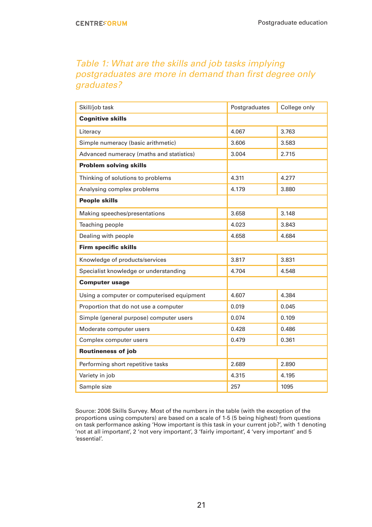#### Table 1: What are the skills and job tasks implying postgraduates are more in demand than first degree only *graduates?*

| Skill/job task                             | Postgraduates | College only |
|--------------------------------------------|---------------|--------------|
| <b>Cognitive skills</b>                    |               |              |
| Literacy                                   | 4.067         | 3.763        |
| Simple numeracy (basic arithmetic)         | 3.606         | 3.583        |
| Advanced numeracy (maths and statistics)   | 3.004         | 2.715        |
| <b>Problem solving skills</b>              |               |              |
| Thinking of solutions to problems          | 4.311         | 4.277        |
| Analysing complex problems                 | 4.179         | 3.880        |
| <b>People skills</b>                       |               |              |
| Making speeches/presentations              | 3.658         | 3.148        |
| Teaching people                            | 4.023         | 3.843        |
| Dealing with people                        | 4.658         | 4.684        |
| <b>Firm specific skills</b>                |               |              |
| Knowledge of products/services             | 3.817         | 3.831        |
| Specialist knowledge or understanding      | 4.704         | 4.548        |
| <b>Computer usage</b>                      |               |              |
| Using a computer or computerised equipment | 4.607         | 4.384        |
| Proportion that do not use a computer      | 0.019         | 0.045        |
| Simple (general purpose) computer users    | 0.074         | 0.109        |
| Moderate computer users                    | 0.428         | 0.486        |
| Complex computer users                     | 0.479         | 0.361        |
| <b>Routineness of job</b>                  |               |              |
| Performing short repetitive tasks          | 2.689         | 2.890        |
| Variety in job                             | 4.315         | 4.195        |
| Sample size                                | 257           | 1095         |

Source: 2006 Skills Survey. Most of the numbers in the table (with the exception of the proportions using computers) are based on a scale of 1-5 (5 being highest) from questions on task performance asking 'How important is this task in your current job?', with 1 denoting 'not at all important', 2 'not very important', 3 'fairly important', 4 'very important' and 5 'essential'.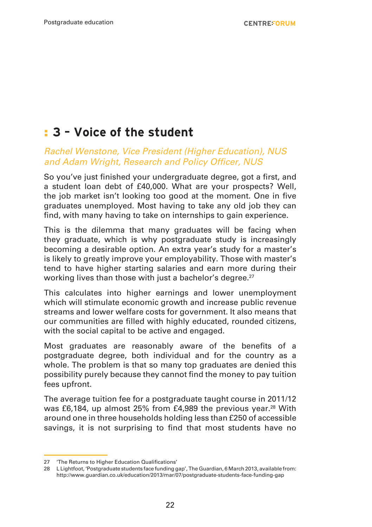## : **3 – Voice of the student**

#### Rachel Wenstone, Vice President (Higher Education), NUS and Adam Wright, Research and Policy Officer, NUS

So you've just finished your undergraduate degree, got a first, and a student loan debt of £40,000. What are your prospects? Well, the job market isn't looking too good at the moment. One in five graduates unemployed. Most having to take any old job they can find, with many having to take on internships to gain experience.

This is the dilemma that many graduates will be facing when they graduate, which is why postgraduate study is increasingly becoming a desirable option. An extra year's study for a master's is likely to greatly improve your employability. Those with master's tend to have higher starting salaries and earn more during their working lives than those with just a bachelor's degree.<sup>27</sup>

This calculates into higher earnings and lower unemployment which will stimulate economic growth and increase public revenue streams and lower welfare costs for government. It also means that our communities are filled with highly educated, rounded citizens, with the social capital to be active and engaged.

Most graduates are reasonably aware of the benefits of a postgraduate degree, both individual and for the country as a whole. The problem is that so many top graduates are denied this possibility purely because they cannot find the money to pay tuition fees upfront.

The average tuition fee for a postgraduate taught course in 2011/12 was £6,184, up almost 25% from £4,989 the previous year.<sup>28</sup> With around one in three households holding less than £250 of accessible savings, it is not surprising to find that most students have no

<sup>27</sup> 'The Returns to Higher Education Qualifications'

<sup>28</sup> L Lightfoot, 'Postgraduate students face funding gap', The Guardian, 6 March 2013, available from: http://www.guardian.co.uk/education/2013/mar/07/postgraduate-students-face-funding-gap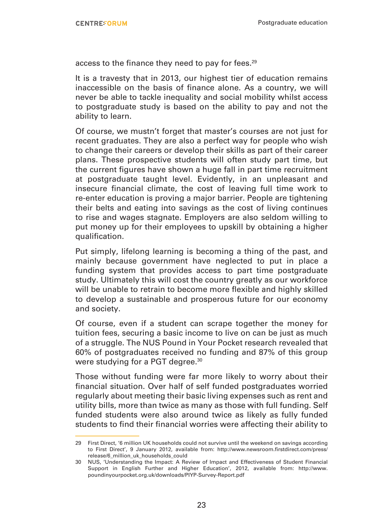access to the finance they need to pay for fees.<sup>29</sup>

It is a travesty that in 2013, our highest tier of education remains inaccessible on the basis of finance alone. As a country, we will never be able to tackle inequality and social mobility whilst access to postgraduate study is based on the ability to pay and not the ability to learn.

Of course, we mustn't forget that master's courses are not just for recent graduates. They are also a perfect way for people who wish to change their careers or develop their skills as part of their career plans. These prospective students will often study part time, but the current figures have shown a huge fall in part time recruitment at postgraduate taught level. Evidently, in an unpleasant and insecure financial climate, the cost of leaving full time work to re-enter education is proving a major barrier. People are tightening their belts and eating into savings as the cost of living continues to rise and wages stagnate. Employers are also seldom willing to put money up for their employees to upskill by obtaining a higher qualification.

Put simply, lifelong learning is becoming a thing of the past, and mainly because government have neglected to put in place a funding system that provides access to part time postgraduate study. Ultimately this will cost the country greatly as our workforce will be unable to retrain to become more flexible and highly skilled to develop a sustainable and prosperous future for our economy and society.

Of course, even if a student can scrape together the money for tuition fees, securing a basic income to live on can be just as much of a struggle. The NUS Pound in Your Pocket research revealed that 60% of postgraduates received no funding and 87% of this group were studying for a PGT degree.<sup>30</sup>

Those without funding were far more likely to worry about their financial situation. Over half of self funded postgraduates worried regularly about meeting their basic living expenses such as rent and utility bills, more than twice as many as those with full funding. Self funded students were also around twice as likely as fully funded students to find their financial worries were affecting their ability to

<sup>29</sup> First Direct, '6 million UK households could not survive until the weekend on savings according to First Direct', 9 January 2012, available from: http://www.newsroom.firstdirect.com/press/ release/6\_million\_uk\_households\_could

<sup>30</sup> NUS, 'Understanding the Impact: A Review of Impact and Effectiveness of Student Financial Support in English Further and Higher Education', 2012, available from: http://www. poundinyourpocket.org.uk/downloads/PIYP-Survey-Report.pdf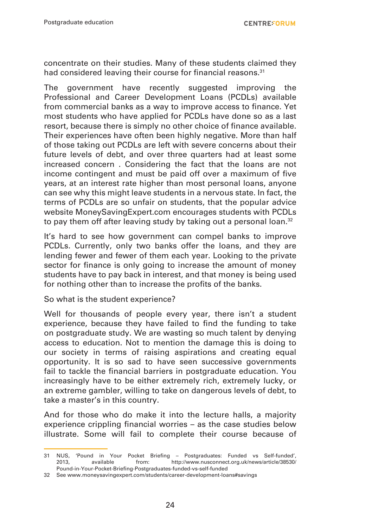concentrate on their studies. Many of these students claimed they had considered leaving their course for financial reasons.<sup>31</sup>

The government have recently suggested improving the Professional and Career Development Loans (PCDLs) available from commercial banks as a way to improve access to finance. Yet most students who have applied for PCDLs have done so as a last resort, because there is simply no other choice of finance available. Their experiences have often been highly negative. More than half of those taking out PCDLs are left with severe concerns about their future levels of debt, and over three quarters had at least some increased concern . Considering the fact that the loans are not income contingent and must be paid off over a maximum of five years, at an interest rate higher than most personal loans, anyone can see why this might leave students in a nervous state. In fact, the terms of PCDLs are so unfair on students, that the popular advice website MoneySavingExpert.com encourages students with PCDLs to pay them off after leaving study by taking out a personal loan.<sup>32</sup>

It's hard to see how government can compel banks to improve PCDLs. Currently, only two banks offer the loans, and they are lending fewer and fewer of them each year. Looking to the private sector for finance is only going to increase the amount of money students have to pay back in interest, and that money is being used for nothing other than to increase the profits of the banks.

So what is the student experience?

Well for thousands of people every year, there isn't a student experience, because they have failed to find the funding to take on postgraduate study. We are wasting so much talent by denying access to education. Not to mention the damage this is doing to our society in terms of raising aspirations and creating equal opportunity. It is so sad to have seen successive governments fail to tackle the financial barriers in postgraduate education. You increasingly have to be either extremely rich, extremely lucky, or an extreme gambler, willing to take on dangerous levels of debt, to take a master's in this country.

And for those who do make it into the lecture halls, a majority experience crippling financial worries – as the case studies below illustrate. Some will fail to complete their course because of

<sup>31</sup> NUS, 'Pound in Your Pocket Briefing – Postgraduates: Funded vs Self-funded', http://www.nusconnect.org.uk/news/article/38530/ Pound-in-Your-Pocket-Briefing-Postgraduates-funded-vs-self-funded

<sup>32</sup> See www.moneysavingexpert.com/students/career-development-loans#savings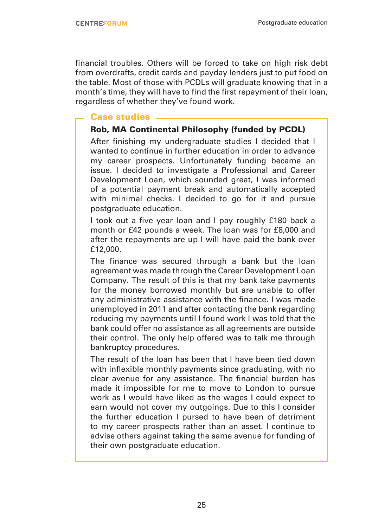financial troubles. Others will be forced to take on high risk debt from overdrafts, credit cards and payday lenders just to put food on the table. Most of those with PCDLs will graduate knowing that in a month's time, they will have to find the first repayment of their loan, regardless of whether they've found work.

#### Case studies

#### Rob, MA Continental Philosophy (funded by PCDL)

After finishing my undergraduate studies I decided that I wanted to continue in further education in order to advance my career prospects. Unfortunately funding became an issue. I decided to investigate a Professional and Career Development Loan, which sounded great, I was informed of a potential payment break and automatically accepted with minimal checks. I decided to go for it and pursue postgraduate education.

I took out a five year loan and I pay roughly £180 back a month or £42 pounds a week. The loan was for £8,000 and after the repayments are up I will have paid the bank over £12,000.

The finance was secured through a bank but the loan agreement was made through the Career Development Loan Company. The result of this is that my bank take payments for the money borrowed monthly but are unable to offer any administrative assistance with the finance. I was made unemployed in 2011 and after contacting the bank regarding reducing my payments until I found work I was told that the bank could offer no assistance as all agreements are outside their control. The only help offered was to talk me through bankruptcy procedures.

The result of the loan has been that I have been tied down with inflexible monthly payments since graduating, with no clear avenue for any assistance. The financial burden has made it impossible for me to move to London to pursue work as I would have liked as the wages I could expect to earn would not cover my outgoings. Due to this I consider the further education I pursed to have been of detriment to my career prospects rather than an asset. I continue to advise others against taking the same avenue for funding of their own postgraduate education.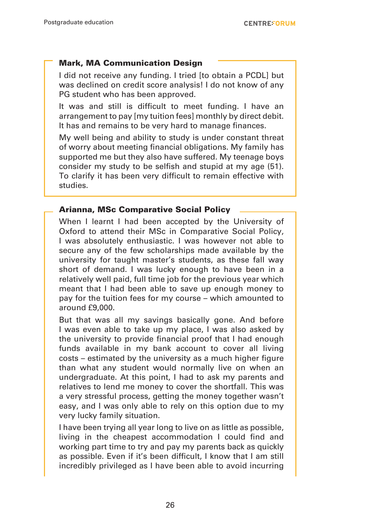#### Mark, MA Communication Design

I did not receive any funding. I tried [to obtain a PCDL] but was declined on credit score analysis! I do not know of any PG student who has been approved.

It was and still is difficult to meet funding. I have an arrangement to pay [my tuition fees] monthly by direct debit. It has and remains to be very hard to manage finances.

My well being and ability to study is under constant threat of worry about meeting financial obligations. My family has supported me but they also have suffered. My teenage boys consider my study to be selfish and stupid at my age (51). To clarify it has been very difficult to remain effective with studies.

#### Arianna, MSc Comparative Social Policy

When I learnt I had been accepted by the University of Oxford to attend their MSc in Comparative Social Policy, I was absolutely enthusiastic. I was however not able to secure any of the few scholarships made available by the university for taught master's students, as these fall way short of demand. I was lucky enough to have been in a relatively well paid, full time job for the previous year which meant that I had been able to save up enough money to pay for the tuition fees for my course – which amounted to around £9,000.

But that was all my savings basically gone. And before I was even able to take up my place, I was also asked by the university to provide financial proof that I had enough funds available in my bank account to cover all living costs – estimated by the university as a much higher figure than what any student would normally live on when an undergraduate. At this point, I had to ask my parents and relatives to lend me money to cover the shortfall. This was a very stressful process, getting the money together wasn't easy, and I was only able to rely on this option due to my very lucky family situation.

I have been trying all year long to live on as little as possible, living in the cheapest accommodation I could find and working part time to try and pay my parents back as quickly as possible. Even if it's been difficult, I know that I am still incredibly privileged as I have been able to avoid incurring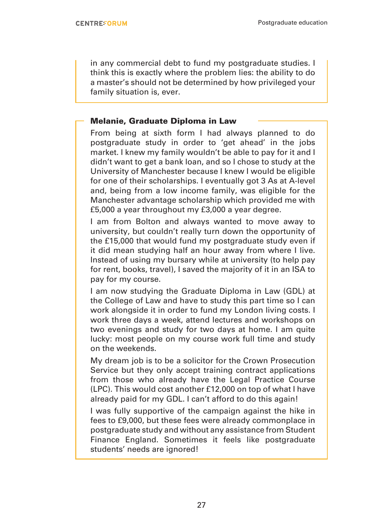in any commercial debt to fund my postgraduate studies. I think this is exactly where the problem lies: the ability to do a master's should not be determined by how privileged your family situation is, ever.

#### Melanie, Graduate Diploma in Law

From being at sixth form I had always planned to do postgraduate study in order to 'get ahead' in the jobs market. I knew my family wouldn't be able to pay for it and I didn't want to get a bank loan, and so I chose to study at the University of Manchester because I knew I would be eligible for one of their scholarships. I eventually got 3 As at A-level and, being from a low income family, was eligible for the Manchester advantage scholarship which provided me with £5,000 a year throughout my £3,000 a year degree.

I am from Bolton and always wanted to move away to university, but couldn't really turn down the opportunity of the £15,000 that would fund my postgraduate study even if it did mean studying half an hour away from where I live. Instead of using my bursary while at university (to help pay for rent, books, travel), I saved the majority of it in an ISA to pay for my course.

I am now studying the Graduate Diploma in Law (GDL) at the College of Law and have to study this part time so I can work alongside it in order to fund my London living costs. I work three days a week, attend lectures and workshops on two evenings and study for two days at home. I am quite lucky: most people on my course work full time and study on the weekends.

My dream job is to be a solicitor for the Crown Prosecution Service but they only accept training contract applications from those who already have the Legal Practice Course (LPC). This would cost another £12,000 on top of what I have already paid for my GDL. I can't afford to do this again!

I was fully supportive of the campaign against the hike in fees to £9,000, but these fees were already commonplace in postgraduate study and without any assistance from Student Finance England. Sometimes it feels like postgraduate students' needs are ignored!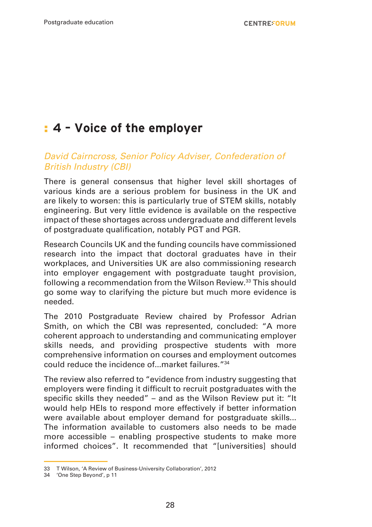## : **4 – Voice of the employer**

#### *David Cairncross, Senior Policy Adviser, Confederation of*  British Industry (CBI)

There is general consensus that higher level skill shortages of various kinds are a serious problem for business in the UK and are likely to worsen: this is particularly true of STEM skills, notably engineering. But very little evidence is available on the respective impact of these shortages across undergraduate and different levels of postgraduate qualification, notably PGT and PGR.

Research Councils UK and the funding councils have commissioned research into the impact that doctoral graduates have in their workplaces, and Universities UK are also commissioning research into employer engagement with postgraduate taught provision, following a recommendation from the Wilson Review.<sup>33</sup> This should go some way to clarifying the picture but much more evidence is needed.

The 2010 Postgraduate Review chaired by Professor Adrian Smith, on which the CBI was represented, concluded: "A more coherent approach to understanding and communicating employer skills needs, and providing prospective students with more comprehensive information on courses and employment outcomes could reduce the incidence of... market failures "34

The review also referred to "evidence from industry suggesting that employers were finding it difficult to recruit postgraduates with the specific skills they needed" – and as the Wilson Review put it: "It would help HEIs to respond more effectively if better information were available about employer demand for postgraduate skills... The information available to customers also needs to be made more accessible – enabling prospective students to make more informed choices". It recommended that "[universities] should

<sup>33</sup> T Wilson, 'A Review of Business-University Collaboration', 2012

<sup>34</sup> 'One Step Beyond', p 11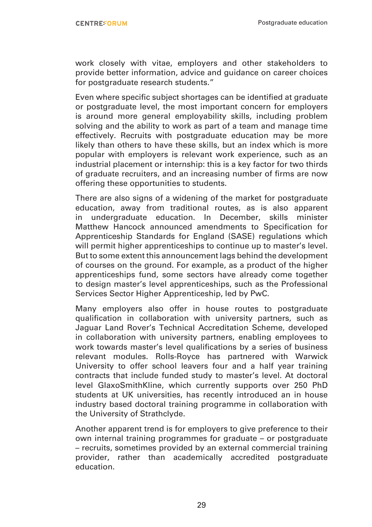work closely with vitae, employers and other stakeholders to provide better information, advice and guidance on career choices for postgraduate research students."

Even where specific subject shortages can be identified at graduate or postgraduate level, the most important concern for employers is around more general employability skills, including problem solving and the ability to work as part of a team and manage time effectively. Recruits with postgraduate education may be more likely than others to have these skills, but an index which is more popular with employers is relevant work experience, such as an industrial placement or internship: this is a key factor for two thirds of graduate recruiters, and an increasing number of firms are now offering these opportunities to students.

There are also signs of a widening of the market for postgraduate education, away from traditional routes, as is also apparent in undergraduate education. In December, skills minister Matthew Hancock announced amendments to Specification for Apprenticeship Standards for England (SASE) regulations which will permit higher apprenticeships to continue up to master's level. But to some extent this announcement lags behind the development of courses on the ground. For example, as a product of the higher apprenticeships fund, some sectors have already come together to design master's level apprenticeships, such as the Professional Services Sector Higher Apprenticeship, led by PwC.

Many employers also offer in house routes to postgraduate qualification in collaboration with university partners, such as Jaguar Land Rover's Technical Accreditation Scheme, developed in collaboration with university partners, enabling employees to work towards master's level qualifications by a series of business relevant modules. Rolls-Royce has partnered with Warwick University to offer school leavers four and a half year training contracts that include funded study to master's level. At doctoral level GlaxoSmithKline, which currently supports over 250 PhD students at UK universities, has recently introduced an in house industry based doctoral training programme in collaboration with the University of Strathclyde.

Another apparent trend is for employers to give preference to their own internal training programmes for graduate – or postgraduate – recruits, sometimes provided by an external commercial training provider, rather than academically accredited postgraduate education.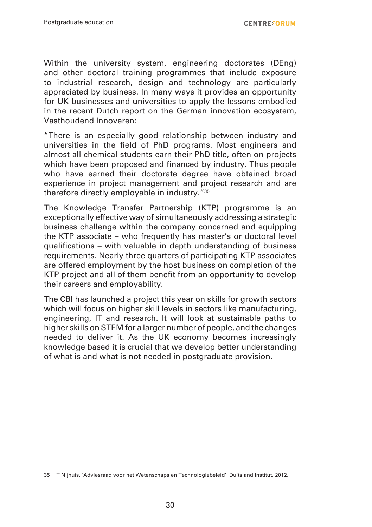Within the university system, engineering doctorates (DEng) and other doctoral training programmes that include exposure to industrial research, design and technology are particularly appreciated by business. In many ways it provides an opportunity for UK businesses and universities to apply the lessons embodied in the recent Dutch report on the German innovation ecosystem, Vasthoudend Innoveren:

"There is an especially good relationship between industry and universities in the field of PhD programs. Most engineers and almost all chemical students earn their PhD title, often on projects which have been proposed and financed by industry. Thus people who have earned their doctorate degree have obtained broad experience in project management and project research and are therefore directly employable in industry."35

The Knowledge Transfer Partnership (KTP) programme is an exceptionally effective way of simultaneously addressing a strategic business challenge within the company concerned and equipping the KTP associate – who frequently has master's or doctoral level qualifications – with valuable in depth understanding of business requirements. Nearly three quarters of participating KTP associates are offered employment by the host business on completion of the KTP project and all of them benefit from an opportunity to develop their careers and employability.

The CBI has launched a project this year on skills for growth sectors which will focus on higher skill levels in sectors like manufacturing, engineering, IT and research. It will look at sustainable paths to higher skills on STEM for a larger number of people, and the changes needed to deliver it. As the UK economy becomes increasingly knowledge based it is crucial that we develop better understanding of what is and what is not needed in postgraduate provision.

<sup>35</sup> T Nijhuis, 'Adviesraad voor het Wetenschaps en Technologiebeleid', Duitsland Institut, 2012.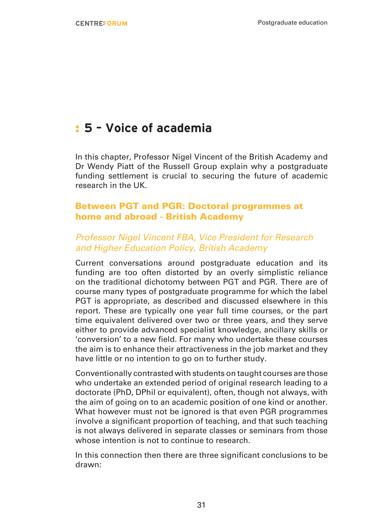## : **5 – Voice of academia**

In this chapter, Professor Nigel Vincent of the British Academy and Dr Wendy Piatt of the Russell Group explain why a postgraduate funding settlement is crucial to securing the future of academic research in the UK.

#### Between PGT and PGR: Doctoral programmes at home and abroad - British Academy

#### Professor Nigel Vincent FBA, Vice President for Research and Higher Education Policy, British Academy

Current conversations around postgraduate education and its funding are too often distorted by an overly simplistic reliance on the traditional dichotomy between PGT and PGR. There are of course many types of postgraduate programme for which the label PGT is appropriate, as described and discussed elsewhere in this report. These are typically one year full time courses, or the part time equivalent delivered over two or three years, and they serve either to provide advanced specialist knowledge, ancillary skills or 'conversion' to a new field. For many who undertake these courses the aim is to enhance their attractiveness in the job market and they have little or no intention to go on to further study.

Conventionally contrasted with students on taught courses are those who undertake an extended period of original research leading to a doctorate (PhD, DPhil or equivalent), often, though not always, with the aim of going on to an academic position of one kind or another. What however must not be ignored is that even PGR programmes involve a significant proportion of teaching, and that such teaching is not always delivered in separate classes or seminars from those whose intention is not to continue to research.

In this connection then there are three significant conclusions to be drawn: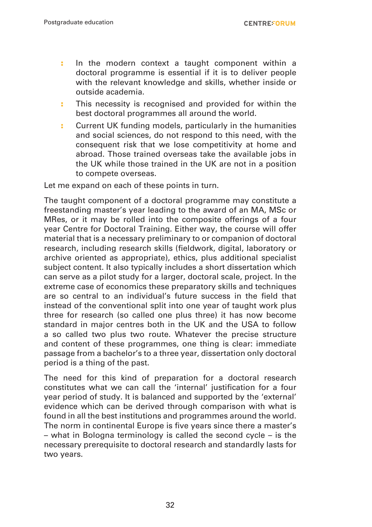**CENTREFORUM** 

- : In the modern context a taught component within a doctoral programme is essential if it is to deliver people with the relevant knowledge and skills, whether inside or outside academia.
- : This necessity is recognised and provided for within the best doctoral programmes all around the world.
- : Current UK funding models, particularly in the humanities and social sciences, do not respond to this need, with the consequent risk that we lose competitivity at home and abroad. Those trained overseas take the available jobs in the UK while those trained in the UK are not in a position to compete overseas.

Let me expand on each of these points in turn.

The taught component of a doctoral programme may constitute a freestanding master's year leading to the award of an MA, MSc or MRes, or it may be rolled into the composite offerings of a four year Centre for Doctoral Training. Either way, the course will offer material that is a necessary preliminary to or companion of doctoral research, including research skills (fieldwork, digital, laboratory or archive oriented as appropriate), ethics, plus additional specialist subject content. It also typically includes a short dissertation which can serve as a pilot study for a larger, doctoral scale, project. In the extreme case of economics these preparatory skills and techniques are so central to an individual's future success in the field that instead of the conventional split into one year of taught work plus three for research (so called one plus three) it has now become standard in major centres both in the UK and the USA to follow a so called two plus two route. Whatever the precise structure and content of these programmes, one thing is clear: immediate passage from a bachelor's to a three year, dissertation only doctoral period is a thing of the past.

The need for this kind of preparation for a doctoral research constitutes what we can call the 'internal' justification for a four year period of study. It is balanced and supported by the 'external' evidence which can be derived through comparison with what is found in all the best institutions and programmes around the world. The norm in continental Europe is five years since there a master's – what in Bologna terminology is called the second cycle – is the necessary prerequisite to doctoral research and standardly lasts for two years.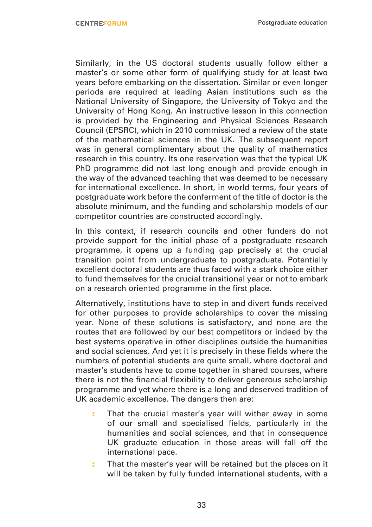Similarly, in the US doctoral students usually follow either a master's or some other form of qualifying study for at least two years before embarking on the dissertation. Similar or even longer periods are required at leading Asian institutions such as the National University of Singapore, the University of Tokyo and the University of Hong Kong. An instructive lesson in this connection is provided by the Engineering and Physical Sciences Research Council (EPSRC), which in 2010 commissioned a review of the state of the mathematical sciences in the UK. The subsequent report was in general complimentary about the quality of mathematics research in this country. Its one reservation was that the typical UK PhD programme did not last long enough and provide enough in the way of the advanced teaching that was deemed to be necessary for international excellence. In short, in world terms, four years of postgraduate work before the conferment of the title of doctor is the absolute minimum, and the funding and scholarship models of our competitor countries are constructed accordingly.

In this context, if research councils and other funders do not provide support for the initial phase of a postgraduate research programme, it opens up a funding gap precisely at the crucial transition point from undergraduate to postgraduate. Potentially excellent doctoral students are thus faced with a stark choice either to fund themselves for the crucial transitional year or not to embark on a research oriented programme in the first place.

Alternatively, institutions have to step in and divert funds received for other purposes to provide scholarships to cover the missing year. None of these solutions is satisfactory, and none are the routes that are followed by our best competitors or indeed by the best systems operative in other disciplines outside the humanities and social sciences. And yet it is precisely in these fields where the numbers of potential students are quite small, where doctoral and master's students have to come together in shared courses, where there is not the financial flexibility to deliver generous scholarship programme and yet where there is a long and deserved tradition of UK academic excellence. The dangers then are:

- : That the crucial master's year will wither away in some of our small and specialised fields, particularly in the humanities and social sciences, and that in consequence UK graduate education in those areas will fall off the international pace.
- : That the master's year will be retained but the places on it will be taken by fully funded international students, with a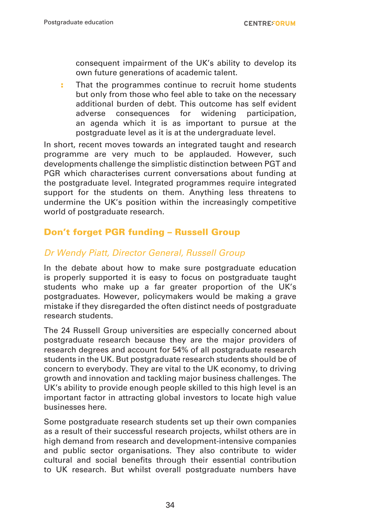consequent impairment of the UK's ability to develop its own future generations of academic talent.

: That the programmes continue to recruit home students but only from those who feel able to take on the necessary additional burden of debt. This outcome has self evident adverse consequences for widening participation, an agenda which it is as important to pursue at the postgraduate level as it is at the undergraduate level.

In short, recent moves towards an integrated taught and research programme are very much to be applauded. However, such developments challenge the simplistic distinction between PGT and PGR which characterises current conversations about funding at the postgraduate level. Integrated programmes require integrated support for the students on them. Anything less threatens to undermine the UK's position within the increasingly competitive world of postgraduate research.

#### Don't forget PGR funding – Russell Group

#### Dr Wendy Piatt, Director General, Russell Group

In the debate about how to make sure postgraduate education is properly supported it is easy to focus on postgraduate taught students who make up a far greater proportion of the UK's postgraduates. However, policymakers would be making a grave mistake if they disregarded the often distinct needs of postgraduate research students.

The 24 Russell Group universities are especially concerned about postgraduate research because they are the major providers of research degrees and account for 54% of all postgraduate research students in the UK. But postgraduate research students should be of concern to everybody. They are vital to the UK economy, to driving growth and innovation and tackling major business challenges. The UK's ability to provide enough people skilled to this high level is an important factor in attracting global investors to locate high value businesses here.

Some postgraduate research students set up their own companies as a result of their successful research projects, whilst others are in high demand from research and development-intensive companies and public sector organisations. They also contribute to wider cultural and social benefits through their essential contribution to UK research. But whilst overall postgraduate numbers have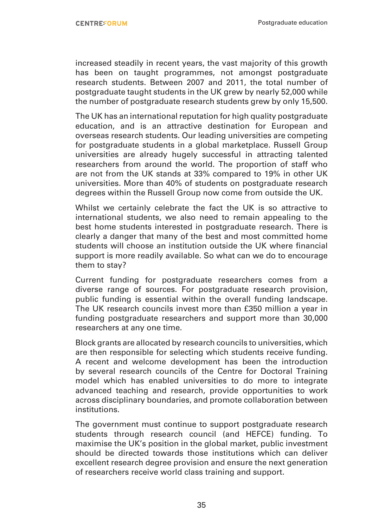increased steadily in recent years, the vast majority of this growth has been on taught programmes, not amongst postgraduate research students. Between 2007 and 2011, the total number of postgraduate taught students in the UK grew by nearly 52,000 while the number of postgraduate research students grew by only 15,500.

The UK has an international reputation for high quality postgraduate education, and is an attractive destination for European and overseas research students. Our leading universities are competing for postgraduate students in a global marketplace. Russell Group universities are already hugely successful in attracting talented researchers from around the world. The proportion of staff who are not from the UK stands at 33% compared to 19% in other UK universities. More than 40% of students on postgraduate research degrees within the Russell Group now come from outside the UK.

Whilst we certainly celebrate the fact the UK is so attractive to international students, we also need to remain appealing to the best home students interested in postgraduate research. There is clearly a danger that many of the best and most committed home students will choose an institution outside the UK where financial support is more readily available. So what can we do to encourage them to stay?

Current funding for postgraduate researchers comes from a diverse range of sources. For postgraduate research provision, public funding is essential within the overall funding landscape. The UK research councils invest more than £350 million a year in funding postgraduate researchers and support more than 30,000 researchers at any one time.

Block grants are allocated by research councils to universities, which are then responsible for selecting which students receive funding. A recent and welcome development has been the introduction by several research councils of the Centre for Doctoral Training model which has enabled universities to do more to integrate advanced teaching and research, provide opportunities to work across disciplinary boundaries, and promote collaboration between institutions.

The government must continue to support postgraduate research students through research council (and HEFCE) funding. To maximise the UK's position in the global market, public investment should be directed towards those institutions which can deliver excellent research degree provision and ensure the next generation of researchers receive world class training and support.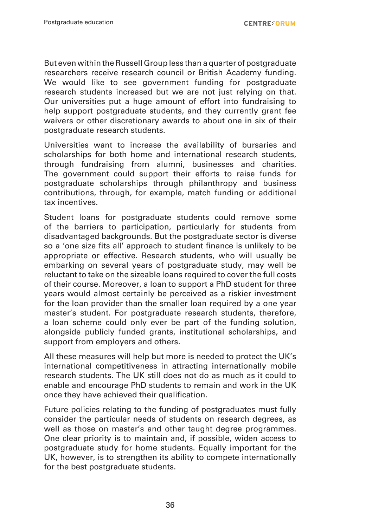But even within the Russell Group less than a quarter of postgraduate researchers receive research council or British Academy funding. We would like to see government funding for postgraduate research students increased but we are not just relying on that. Our universities put a huge amount of effort into fundraising to help support postgraduate students, and they currently grant fee waivers or other discretionary awards to about one in six of their postgraduate research students.

Universities want to increase the availability of bursaries and scholarships for both home and international research students, through fundraising from alumni, businesses and charities. The government could support their efforts to raise funds for postgraduate scholarships through philanthropy and business contributions, through, for example, match funding or additional tax incentives.

Student loans for postgraduate students could remove some of the barriers to participation, particularly for students from disadvantaged backgrounds. But the postgraduate sector is diverse so a 'one size fits all' approach to student finance is unlikely to be appropriate or effective. Research students, who will usually be embarking on several years of postgraduate study, may well be reluctant to take on the sizeable loans required to cover the full costs of their course. Moreover, a loan to support a PhD student for three years would almost certainly be perceived as a riskier investment for the loan provider than the smaller loan required by a one year master's student. For postgraduate research students, therefore, a loan scheme could only ever be part of the funding solution, alongside publicly funded grants, institutional scholarships, and support from employers and others.

All these measures will help but more is needed to protect the UK's international competitiveness in attracting internationally mobile research students. The UK still does not do as much as it could to enable and encourage PhD students to remain and work in the UK once they have achieved their qualification.

Future policies relating to the funding of postgraduates must fully consider the particular needs of students on research degrees, as well as those on master's and other taught degree programmes. One clear priority is to maintain and, if possible, widen access to postgraduate study for home students. Equally important for the UK, however, is to strengthen its ability to compete internationally for the best postgraduate students.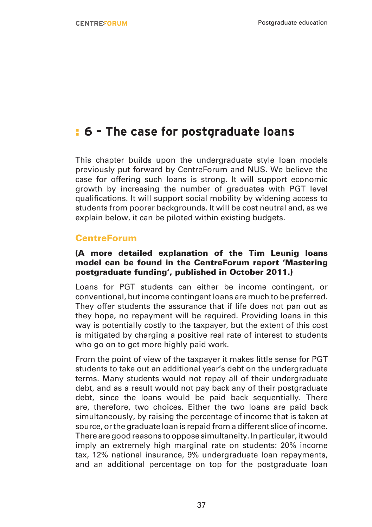## : **6 – The case for postgraduate loans**

This chapter builds upon the undergraduate style loan models previously put forward by CentreForum and NUS. We believe the case for offering such loans is strong. It will support economic growth by increasing the number of graduates with PGT level qualifications. It will support social mobility by widening access to students from poorer backgrounds. It will be cost neutral and, as we explain below, it can be piloted within existing budgets.

#### **CentreForum**

#### (A more detailed explanation of the Tim Leunig loans model can be found in the CentreForum report 'Mastering postgraduate funding', published in October 2011.)

Loans for PGT students can either be income contingent, or conventional, but income contingent loans are much to be preferred. They offer students the assurance that if life does not pan out as they hope, no repayment will be required. Providing loans in this way is potentially costly to the taxpayer, but the extent of this cost is mitigated by charging a positive real rate of interest to students who go on to get more highly paid work.

From the point of view of the taxpayer it makes little sense for PGT students to take out an additional year's debt on the undergraduate terms. Many students would not repay all of their undergraduate debt, and as a result would not pay back any of their postgraduate debt, since the loans would be paid back sequentially. There are, therefore, two choices. Either the two loans are paid back simultaneously, by raising the percentage of income that is taken at source, or the graduate loan is repaid from a different slice of income. There are good reasons to oppose simultaneity. In particular, it would imply an extremely high marginal rate on students: 20% income tax, 12% national insurance, 9% undergraduate loan repayments, and an additional percentage on top for the postgraduate loan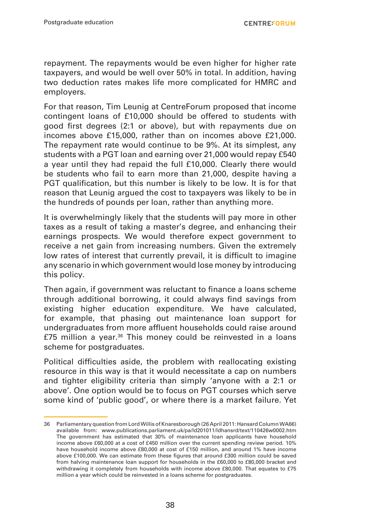repayment. The repayments would be even higher for higher rate taxpayers, and would be well over 50% in total. In addition, having two deduction rates makes life more complicated for HMRC and employers.

For that reason, Tim Leunig at CentreForum proposed that income contingent loans of £10,000 should be offered to students with good first degrees (2:1 or above), but with repayments due on incomes above £15,000, rather than on incomes above £21,000. The repayment rate would continue to be 9%. At its simplest, any students with a PGT loan and earning over 21,000 would repay £540 a year until they had repaid the full £10,000. Clearly there would be students who fail to earn more than 21,000, despite having a PGT qualification, but this number is likely to be low. It is for that reason that Leunig argued the cost to taxpayers was likely to be in the hundreds of pounds per loan, rather than anything more.

It is overwhelmingly likely that the students will pay more in other taxes as a result of taking a master's degree, and enhancing their earnings prospects. We would therefore expect government to receive a net gain from increasing numbers. Given the extremely low rates of interest that currently prevail, it is difficult to imagine any scenario in which government would lose money by introducing this policy.

Then again, if government was reluctant to finance a loans scheme through additional borrowing, it could always find savings from existing higher education expenditure. We have calculated, for example, that phasing out maintenance loan support for undergraduates from more affluent households could raise around £75 million a year.<sup>36</sup> This money could be reinvested in a loans scheme for postgraduates.

Political difficulties aside, the problem with reallocating existing resource in this way is that it would necessitate a cap on numbers and tighter eligibility criteria than simply 'anyone with a 2:1 or above'. One option would be to focus on PGT courses which serve some kind of 'public good', or where there is a market failure. Yet

<sup>36</sup> Parliamentary question from Lord Willis of Knaresborough (26 April 2011: Hansard Column WA66) available from: www.publications.parliament.uk/pa/ld201011/ldhansrd/text/110426w0002.htm The government has estimated that 30% of maintenance loan applicants have household income above £60,000 at a cost of £450 million over the current spending review period. 10% have household income above £80,000 at cost of £150 million, and around 1% have income above £100,000. We can estimate from these figures that around £300 million could be saved from halving maintenance loan support for households in the £60,000 to £80,000 bracket and withdrawing it completely from households with income above £80,000. That equates to £75 million a year which could be reinvested in a loans scheme for postgraduates.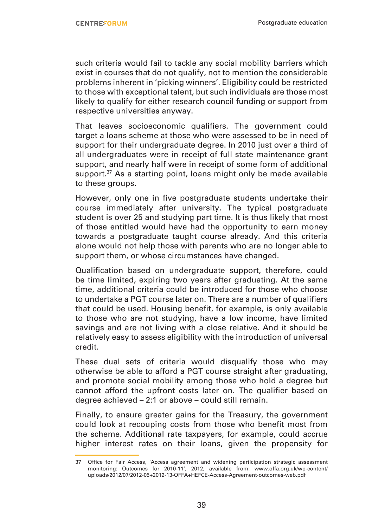such criteria would fail to tackle any social mobility barriers which exist in courses that do not qualify, not to mention the considerable problems inherent in 'picking winners'. Eligibility could be restricted to those with exceptional talent, but such individuals are those most likely to qualify for either research council funding or support from respective universities anyway.

That leaves socioeconomic qualifiers. The government could target a loans scheme at those who were assessed to be in need of support for their undergraduate degree. In 2010 just over a third of all undergraduates were in receipt of full state maintenance grant support, and nearly half were in receipt of some form of additional support. $37$  As a starting point, loans might only be made available to these groups.

However, only one in five postgraduate students undertake their course immediately after university. The typical postgraduate student is over 25 and studying part time. It is thus likely that most of those entitled would have had the opportunity to earn money towards a postgraduate taught course already. And this criteria alone would not help those with parents who are no longer able to support them, or whose circumstances have changed.

Qualification based on undergraduate support, therefore, could be time limited, expiring two years after graduating. At the same time, additional criteria could be introduced for those who choose to undertake a PGT course later on. There are a number of qualifiers that could be used. Housing benefit, for example, is only available to those who are not studying, have a low income, have limited savings and are not living with a close relative. And it should be relatively easy to assess eligibility with the introduction of universal credit.

These dual sets of criteria would disqualify those who may otherwise be able to afford a PGT course straight after graduating, and promote social mobility among those who hold a degree but cannot afford the upfront costs later on. The qualifier based on degree achieved – 2:1 or above – could still remain.

Finally, to ensure greater gains for the Treasury, the government could look at recouping costs from those who benefit most from the scheme. Additional rate taxpayers, for example, could accrue higher interest rates on their loans, given the propensity for

<sup>37</sup> Office for Fair Access, 'Access agreement and widening participation strategic assessment monitoring: Outcomes for 2010-11', 2012, available from: www.offa.org.uk/wp-content/ uploads/2012/07/2012-05+2012-13-OFFA+HEFCE-Access-Agreement-outcomes-web.pdf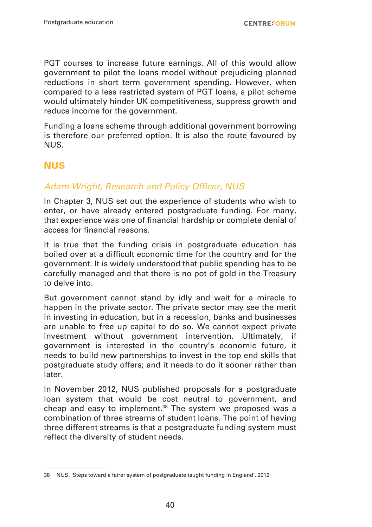PGT courses to increase future earnings. All of this would allow government to pilot the loans model without prejudicing planned reductions in short term government spending. However, when compared to a less restricted system of PGT loans, a pilot scheme would ultimately hinder UK competitiveness, suppress growth and reduce income for the government.

Funding a loans scheme through additional government borrowing is therefore our preferred option. It is also the route favoured by NUS.

#### **NUS**

#### Adam Wright, Research and Policy Officer, NUS

In Chapter 3, NUS set out the experience of students who wish to enter, or have already entered postgraduate funding. For many, that experience was one of financial hardship or complete denial of access for financial reasons.

It is true that the funding crisis in postgraduate education has boiled over at a difficult economic time for the country and for the government. It is widely understood that public spending has to be carefully managed and that there is no pot of gold in the Treasury to delve into.

But government cannot stand by idly and wait for a miracle to happen in the private sector. The private sector may see the merit in investing in education, but in a recession, banks and businesses are unable to free up capital to do so. We cannot expect private investment without government intervention. Ultimately, if government is interested in the country's economic future, it needs to build new partnerships to invest in the top end skills that postgraduate study offers; and it needs to do it sooner rather than later.

In November 2012, NUS published proposals for a postgraduate loan system that would be cost neutral to government, and cheap and easy to implement.38 The system we proposed was a combination of three streams of student loans. The point of having three different streams is that a postgraduate funding system must reflect the diversity of student needs.

<sup>38</sup> NUS, 'Steps toward a fairer system of postgraduate taught funding in England', 2012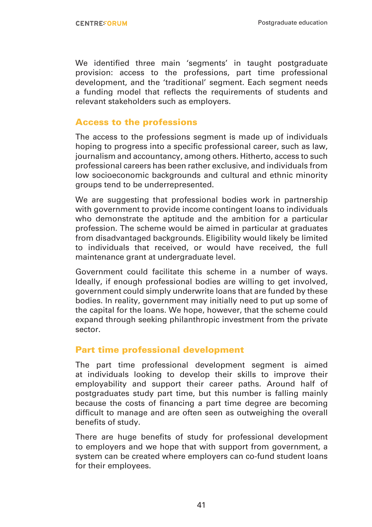We identified three main 'segments' in taught postgraduate provision: access to the professions, part time professional development, and the 'traditional' segment. Each segment needs a funding model that reflects the requirements of students and relevant stakeholders such as employers.

#### Access to the professions

The access to the professions segment is made up of individuals hoping to progress into a specific professional career, such as law, journalism and accountancy, among others. Hitherto, access to such professional careers has been rather exclusive, and individuals from low socioeconomic backgrounds and cultural and ethnic minority groups tend to be underrepresented.

We are suggesting that professional bodies work in partnership with government to provide income contingent loans to individuals who demonstrate the aptitude and the ambition for a particular profession. The scheme would be aimed in particular at graduates from disadvantaged backgrounds. Eligibility would likely be limited to individuals that received, or would have received, the full maintenance grant at undergraduate level.

Government could facilitate this scheme in a number of ways. Ideally, if enough professional bodies are willing to get involved, government could simply underwrite loans that are funded by these bodies. In reality, government may initially need to put up some of the capital for the loans. We hope, however, that the scheme could expand through seeking philanthropic investment from the private sector.

#### Part time professional development

The part time professional development segment is aimed at individuals looking to develop their skills to improve their employability and support their career paths. Around half of postgraduates study part time, but this number is falling mainly because the costs of financing a part time degree are becoming difficult to manage and are often seen as outweighing the overall benefits of study.

There are huge benefits of study for professional development to employers and we hope that with support from government, a system can be created where employers can co-fund student loans for their employees.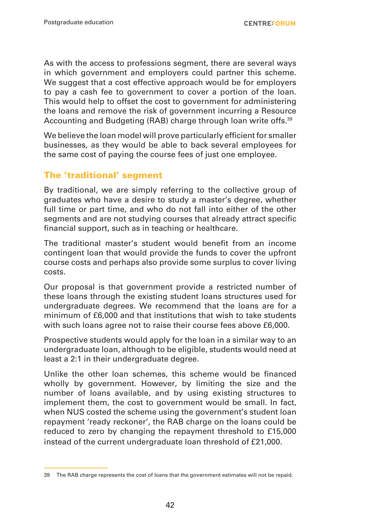As with the access to professions segment, there are several ways in which government and employers could partner this scheme. We suggest that a cost effective approach would be for employers to pay a cash fee to government to cover a portion of the loan. This would help to offset the cost to government for administering the loans and remove the risk of government incurring a Resource Accounting and Budgeting (RAB) charge through loan write offs.39

We believe the loan model will prove particularly efficient for smaller businesses, as they would be able to back several employees for the same cost of paying the course fees of just one employee.

#### The 'traditional' segment

By traditional, we are simply referring to the collective group of graduates who have a desire to study a master's degree, whether full time or part time, and who do not fall into either of the other segments and are not studying courses that already attract specific financial support, such as in teaching or healthcare.

The traditional master's student would benefit from an income contingent loan that would provide the funds to cover the upfront course costs and perhaps also provide some surplus to cover living costs.

Our proposal is that government provide a restricted number of these loans through the existing student loans structures used for undergraduate degrees. We recommend that the loans are for a minimum of £6,000 and that institutions that wish to take students with such loans agree not to raise their course fees above £6,000.

Prospective students would apply for the loan in a similar way to an undergraduate loan, although to be eligible, students would need at least a 2:1 in their undergraduate degree.

Unlike the other loan schemes, this scheme would be financed wholly by government. However, by limiting the size and the number of loans available, and by using existing structures to implement them, the cost to government would be small. In fact, when NUS costed the scheme using the government's student loan repayment 'ready reckoner', the RAB charge on the loans could be reduced to zero by changing the repayment threshold to £15,000 instead of the current undergraduate loan threshold of £21,000.

<sup>39</sup> The RAB charge represents the cost of loans that the government estimates will not be repaid.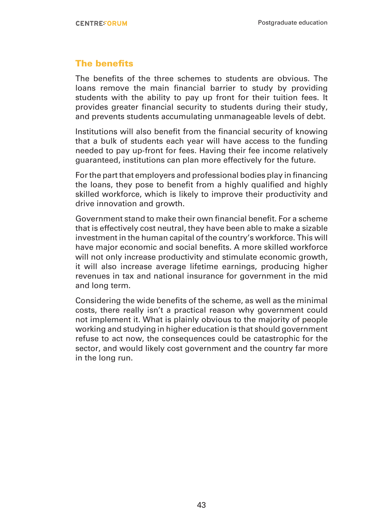#### The benefits

The benefits of the three schemes to students are obvious. The loans remove the main financial barrier to study by providing students with the ability to pay up front for their tuition fees. It provides greater financial security to students during their study, and prevents students accumulating unmanageable levels of debt.

Institutions will also benefit from the financial security of knowing that a bulk of students each year will have access to the funding needed to pay up-front for fees. Having their fee income relatively guaranteed, institutions can plan more effectively for the future.

For the part that employers and professional bodies play in financing the loans, they pose to benefit from a highly qualified and highly skilled workforce, which is likely to improve their productivity and drive innovation and growth.

Government stand to make their own financial benefit. For a scheme that is effectively cost neutral, they have been able to make a sizable investment in the human capital of the country's workforce. This will have major economic and social benefits. A more skilled workforce will not only increase productivity and stimulate economic growth, it will also increase average lifetime earnings, producing higher revenues in tax and national insurance for government in the mid and long term.

Considering the wide benefits of the scheme, as well as the minimal costs, there really isn't a practical reason why government could not implement it. What is plainly obvious to the majority of people working and studying in higher education is that should government refuse to act now, the consequences could be catastrophic for the sector, and would likely cost government and the country far more in the long run.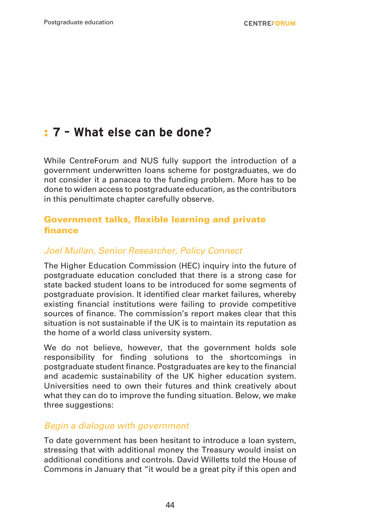## : **7 – What else can be done?**

While CentreForum and NUS fully support the introduction of a government underwritten loans scheme for postgraduates, we do not consider it a panacea to the funding problem. More has to be done to widen access to postgraduate education, as the contributors in this penultimate chapter carefully observe.

#### Government talks, flexible learning and private finance

#### *Joel Mullan, Senior Researcher, Policy Connect*

The Higher Education Commission (HEC) inquiry into the future of postgraduate education concluded that there is a strong case for state backed student loans to be introduced for some segments of postgraduate provision. It identified clear market failures, whereby existing financial institutions were failing to provide competitive sources of finance. The commission's report makes clear that this situation is not sustainable if the UK is to maintain its reputation as the home of a world class university system.

We do not believe, however, that the government holds sole responsibility for finding solutions to the shortcomings in postgraduate student finance. Postgraduates are key to the financial and academic sustainability of the UK higher education system. Universities need to own their futures and think creatively about what they can do to improve the funding situation. Below, we make three suggestions:

#### *Begin a dialogue with government*

To date government has been hesitant to introduce a loan system, stressing that with additional money the Treasury would insist on additional conditions and controls. David Willetts told the House of Commons in January that "it would be a great pity if this open and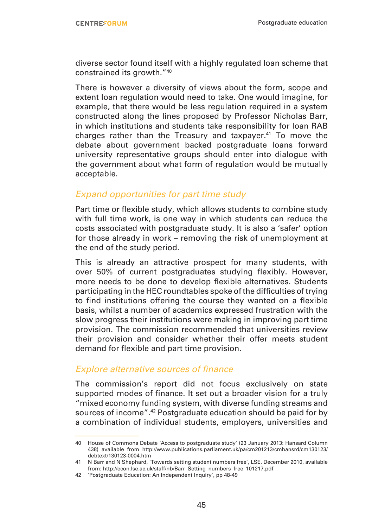diverse sector found itself with a highly regulated loan scheme that constrained its growth."40

There is however a diversity of views about the form, scope and extent loan regulation would need to take. One would imagine, for example, that there would be less regulation required in a system constructed along the lines proposed by Professor Nicholas Barr, in which institutions and students take responsibility for loan RAB charges rather than the Treasury and taxpayer.41 To move the debate about government backed postgraduate loans forward university representative groups should enter into dialogue with the government about what form of regulation would be mutually acceptable.

#### *Expand opportunities for part time study*

Part time or flexible study, which allows students to combine study with full time work, is one way in which students can reduce the costs associated with postgraduate study. It is also a 'safer' option for those already in work – removing the risk of unemployment at the end of the study period.

This is already an attractive prospect for many students, with over 50% of current postgraduates studying flexibly. However, more needs to be done to develop flexible alternatives. Students participating in the HEC roundtables spoke of the difficulties of trying to find institutions offering the course they wanted on a flexible basis, whilst a number of academics expressed frustration with the slow progress their institutions were making in improving part time provision. The commission recommended that universities review their provision and consider whether their offer meets student demand for flexible and part time provision.

#### Explore alternative sources of finance

The commission's report did not focus exclusively on state supported modes of finance. It set out a broader vision for a truly "mixed economy funding system, with diverse funding streams and sources of income".42 Postgraduate education should be paid for by a combination of individual students, employers, universities and

<sup>40</sup> House of Commons Debate 'Access to postgraduate study' (23 January 2013: Hansard Column 438) available from http://www.publications.parliament.uk/pa/cm201213/cmhansrd/cm130123/ debtext/130123-0004.htm

<sup>41</sup> N Barr and N Shephard, 'Towards setting student numbers free', LSE, December 2010, available from: http://econ.lse.ac.uk/staff/nb/Barr\_Setting\_numbers\_free\_101217.pdf

<sup>42</sup> 'Postgraduate Education: An Independent Inquiry', pp 48-49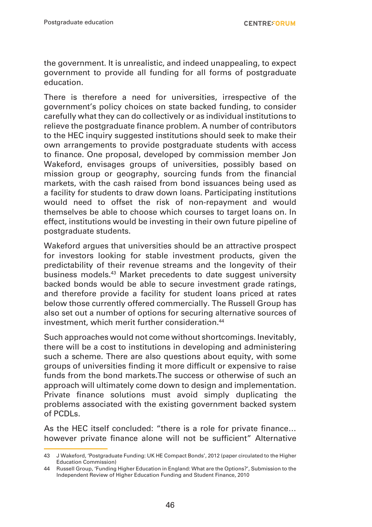the government. It is unrealistic, and indeed unappealing, to expect government to provide all funding for all forms of postgraduate education.

There is therefore a need for universities, irrespective of the government's policy choices on state backed funding, to consider carefully what they can do collectively or as individual institutions to relieve the postgraduate finance problem. A number of contributors to the HEC inquiry suggested institutions should seek to make their own arrangements to provide postgraduate students with access to finance. One proposal, developed by commission member Jon Wakeford, envisages groups of universities, possibly based on mission group or geography, sourcing funds from the financial markets, with the cash raised from bond issuances being used as a facility for students to draw down loans. Participating institutions would need to offset the risk of non-repayment and would themselves be able to choose which courses to target loans on. In effect, institutions would be investing in their own future pipeline of postgraduate students.

Wakeford argues that universities should be an attractive prospect for investors looking for stable investment products, given the predictability of their revenue streams and the longevity of their business models.<sup>43</sup> Market precedents to date suggest university backed bonds would be able to secure investment grade ratings, and therefore provide a facility for student loans priced at rates below those currently offered commercially. The Russell Group has also set out a number of options for securing alternative sources of investment, which merit further consideration.<sup>44</sup>

Such approaches would not come without shortcomings. Inevitably, there will be a cost to institutions in developing and administering such a scheme. There are also questions about equity, with some groups of universities finding it more difficult or expensive to raise funds from the bond markets.The success or otherwise of such an approach will ultimately come down to design and implementation. Private finance solutions must avoid simply duplicating the problems associated with the existing government backed system of PCDLs.

As the HEC itself concluded: "there is a role for private finance… however private finance alone will not be sufficient" Alternative

<sup>43</sup> J Wakeford, 'Postgraduate Funding: UK HE Compact Bonds', 2012 (paper circulated to the Higher Education Commission)

<sup>44</sup> Russell Group, 'Funding Higher Education in England: What are the Options?', Submission to the Independent Review of Higher Education Funding and Student Finance, 2010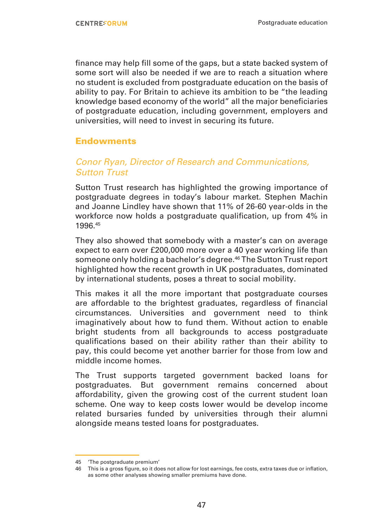finance may help fill some of the gaps, but a state backed system of some sort will also be needed if we are to reach a situation where no student is excluded from postgraduate education on the basis of ability to pay. For Britain to achieve its ambition to be "the leading knowledge based economy of the world" all the major beneficiaries of postgraduate education, including government, employers and universities, will need to invest in securing its future.

#### **Endowments**

#### *Conor Ryan, Director of Research and Communications, Sutton Trust*

Sutton Trust research has highlighted the growing importance of postgraduate degrees in today's labour market. Stephen Machin and Joanne Lindley have shown that 11% of 26-60 year-olds in the workforce now holds a postgraduate qualification, up from 4% in 1996.45

They also showed that somebody with a master's can on average expect to earn over £200,000 more over a 40 year working life than someone only holding a bachelor's degree.46 The Sutton Trust report highlighted how the recent growth in UK postgraduates, dominated by international students, poses a threat to social mobility.

This makes it all the more important that postgraduate courses are affordable to the brightest graduates, regardless of financial circumstances. Universities and government need to think imaginatively about how to fund them. Without action to enable bright students from all backgrounds to access postgraduate qualifications based on their ability rather than their ability to pay, this could become yet another barrier for those from low and middle income homes.

The Trust supports targeted government backed loans for postgraduates. But government remains concerned about affordability, given the growing cost of the current student loan scheme. One way to keep costs lower would be develop income related bursaries funded by universities through their alumni alongside means tested loans for postgraduates.

<sup>45</sup> 'The postgraduate premium'

<sup>46</sup> This is a gross figure, so it does not allow for lost earnings, fee costs, extra taxes due or inflation, as some other analyses showing smaller premiums have done.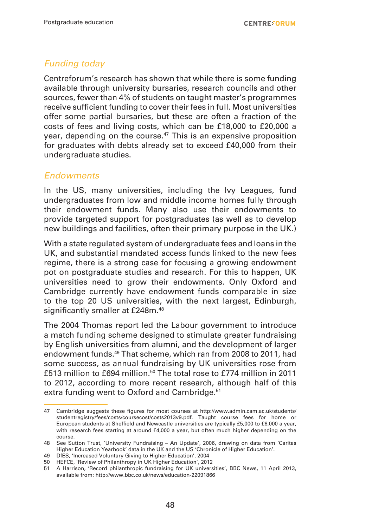#### *Funding today*

Centreforum's research has shown that while there is some funding available through university bursaries, research councils and other sources, fewer than 4% of students on taught master's programmes receive sufficient funding to cover their fees in full. Most universities offer some partial bursaries, but these are often a fraction of the costs of fees and living costs, which can be £18,000 to £20,000 a year, depending on the course.<sup>47</sup> This is an expensive proposition for graduates with debts already set to exceed £40,000 from their undergraduate studies.

#### *Endowments*

In the US, many universities, including the Ivy Leagues, fund undergraduates from low and middle income homes fully through their endowment funds. Many also use their endowments to provide targeted support for postgraduates (as well as to develop new buildings and facilities, often their primary purpose in the UK.)

With a state regulated system of undergraduate fees and loans in the UK, and substantial mandated access funds linked to the new fees regime, there is a strong case for focusing a growing endowment pot on postgraduate studies and research. For this to happen, UK universities need to grow their endowments. Only Oxford and Cambridge currently have endowment funds comparable in size to the top 20 US universities, with the next largest, Edinburgh, significantly smaller at £248m.<sup>48</sup>

The 2004 Thomas report led the Labour government to introduce a match funding scheme designed to stimulate greater fundraising by English universities from alumni, and the development of larger endowment funds.49 That scheme, which ran from 2008 to 2011, had some success, as annual fundraising by UK universities rose from £513 million to £694 million.<sup>50</sup> The total rose to £774 million in 2011 to 2012, according to more recent research, although half of this extra funding went to Oxford and Cambridge.<sup>51</sup>

<sup>47</sup> Cambridge suggests these figures for most courses at http://www.admin.cam.ac.uk/students/ studentregistry/fees/costs/coursecost/costs2013v9.pdf. Taught course fees for home or European students at Sheffield and Newcastle universities are typically £5,000 to £6,000 a year, with research fees starting at around £4,000 a year, but often much higher depending on the course.

<sup>48</sup> See Sutton Trust, 'University Fundraising – An Update', 2006, drawing on data from 'Caritas Higher Education Yearbook' data in the UK and the US 'Chronicle of Higher Education'.

<sup>49</sup> DfES, 'Increased Voluntary Giving to Higher Education', 2004

<sup>50</sup> HEFCE, 'Review of Philanthropy in UK Higher Education', 2012

<sup>51</sup> A Harrison, 'Record philanthropic fundraising for UK universities', BBC News, 11 April 2013, available from: http://www.bbc.co.uk/news/education-22091866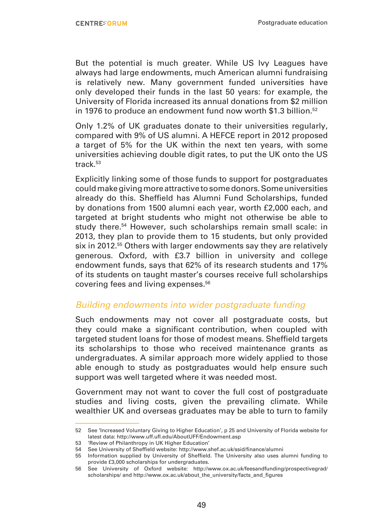But the potential is much greater. While US Ivy Leagues have always had large endowments, much American alumni fundraising is relatively new. Many government funded universities have only developed their funds in the last 50 years: for example, the University of Florida increased its annual donations from \$2 million in 1976 to produce an endowment fund now worth \$1.3 billion.<sup>52</sup>

Only 1.2% of UK graduates donate to their universities regularly, compared with 9% of US alumni. A HEFCE report in 2012 proposed a target of 5% for the UK within the next ten years, with some universities achieving double digit rates, to put the UK onto the US track.53

Explicitly linking some of those funds to support for postgraduates could make giving more attractive to some donors. Some universities already do this. Sheffield has Alumni Fund Scholarships, funded by donations from 1500 alumni each year, worth £2,000 each, and targeted at bright students who might not otherwise be able to study there.<sup>54</sup> However, such scholarships remain small scale: in 2013, they plan to provide them to 15 students, but only provided six in 2012.<sup>55</sup> Others with larger endowments say they are relatively generous. Oxford, with £3.7 billion in university and college endowment funds, says that 62% of its research students and 17% of its students on taught master's courses receive full scholarships covering fees and living expenses.<sup>56</sup>

#### *Building endowments into wider postgraduate funding*

Such endowments may not cover all postgraduate costs, but they could make a significant contribution, when coupled with targeted student loans for those of modest means. Sheffield targets its scholarships to those who received maintenance grants as undergraduates. A similar approach more widely applied to those able enough to study as postgraduates would help ensure such support was well targeted where it was needed most.

Government may not want to cover the full cost of postgraduate studies and living costs, given the prevailing climate. While wealthier UK and overseas graduates may be able to turn to family

<sup>52</sup> See 'Increased Voluntary Giving to Higher Education', p 25 and University of Florida website for latest data: http://www.uff.ufl.edu/AboutUFF/Endowment.asp

<sup>53</sup> 'Review of Philanthropy in UK Higher Education' 54 See University of Sheffield website: http://www.shef.ac.uk/ssid/finance/alumni

<sup>55</sup> Information supplied by University of Sheffield. The University also uses alumni funding to provide £3,000 scholarships for undergraduates.

<sup>56</sup> See University of Oxford website: http://www.ox.ac.uk/feesandfunding/prospectivegrad/ scholarships/ and http://www.ox.ac.uk/about\_the\_university/facts\_and\_figures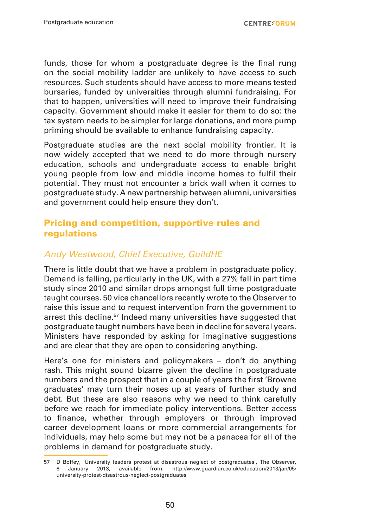funds, those for whom a postgraduate degree is the final rung on the social mobility ladder are unlikely to have access to such resources. Such students should have access to more means tested bursaries, funded by universities through alumni fundraising. For that to happen, universities will need to improve their fundraising capacity. Government should make it easier for them to do so: the tax system needs to be simpler for large donations, and more pump priming should be available to enhance fundraising capacity.

Postgraduate studies are the next social mobility frontier. It is now widely accepted that we need to do more through nursery education, schools and undergraduate access to enable bright young people from low and middle income homes to fulfil their potential. They must not encounter a brick wall when it comes to postgraduate study. A new partnership between alumni, universities and government could help ensure they don't.

#### Pricing and competition, supportive rules and regulations

#### Andy Westwood, Chief Executive, GuildHE

There is little doubt that we have a problem in postgraduate policy. Demand is falling, particularly in the UK, with a 27% fall in part time study since 2010 and similar drops amongst full time postgraduate taught courses. 50 vice chancellors recently wrote to the Observer to raise this issue and to request intervention from the government to arrest this decline.<sup>57</sup> Indeed many universities have suggested that postgraduate taught numbers have been in decline for several years. Ministers have responded by asking for imaginative suggestions and are clear that they are open to considering anything.

Here's one for ministers and policymakers – don't do anything rash. This might sound bizarre given the decline in postgraduate numbers and the prospect that in a couple of years the first 'Browne graduates' may turn their noses up at years of further study and debt. But these are also reasons why we need to think carefully before we reach for immediate policy interventions. Better access to finance, whether through employers or through improved career development loans or more commercial arrangements for individuals, may help some but may not be a panacea for all of the problems in demand for postgraduate study.

<sup>57</sup> D Boffey, 'University leaders protest at disastrous neglect of postgraduates', The Observer, 6 January 2013, available from: http://www.guardian.co.uk/education/2013/jan/05/ university-protest-disastrous-neglect-postgraduates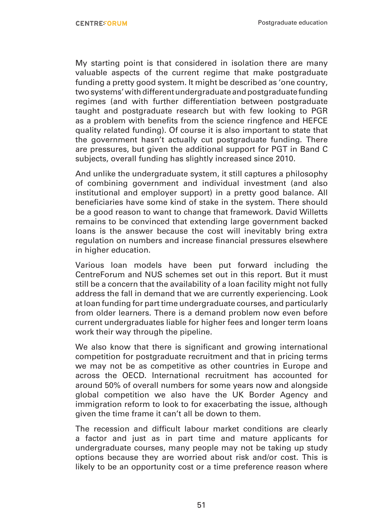My starting point is that considered in isolation there are many valuable aspects of the current regime that make postgraduate funding a pretty good system. It might be described as 'one country, two systems' with different undergraduate and postgraduate funding regimes (and with further differentiation between postgraduate taught and postgraduate research but with few looking to PGR as a problem with benefits from the science ringfence and HEFCE quality related funding). Of course it is also important to state that the government hasn't actually cut postgraduate funding. There are pressures, but given the additional support for PGT in Band C subjects, overall funding has slightly increased since 2010.

And unlike the undergraduate system, it still captures a philosophy of combining government and individual investment (and also institutional and employer support) in a pretty good balance. All beneficiaries have some kind of stake in the system. There should be a good reason to want to change that framework. David Willetts remains to be convinced that extending large government backed loans is the answer because the cost will inevitably bring extra regulation on numbers and increase financial pressures elsewhere in higher education.

Various loan models have been put forward including the CentreForum and NUS schemes set out in this report. But it must still be a concern that the availability of a loan facility might not fully address the fall in demand that we are currently experiencing. Look at loan funding for part time undergraduate courses, and particularly from older learners. There is a demand problem now even before current undergraduates liable for higher fees and longer term loans work their way through the pipeline.

We also know that there is significant and growing international competition for postgraduate recruitment and that in pricing terms we may not be as competitive as other countries in Europe and across the OECD. International recruitment has accounted for around 50% of overall numbers for some years now and alongside global competition we also have the UK Border Agency and immigration reform to look to for exacerbating the issue, although given the time frame it can't all be down to them.

The recession and difficult labour market conditions are clearly a factor and just as in part time and mature applicants for undergraduate courses, many people may not be taking up study options because they are worried about risk and/or cost. This is likely to be an opportunity cost or a time preference reason where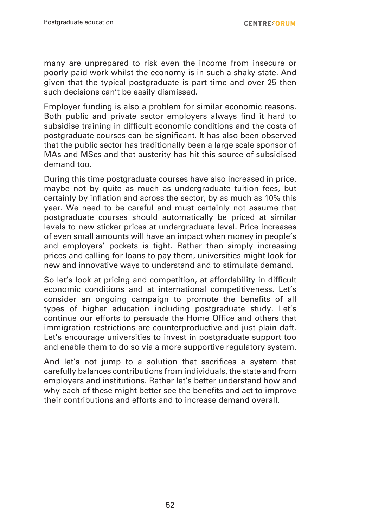**CENTREFORUM** 

many are unprepared to risk even the income from insecure or poorly paid work whilst the economy is in such a shaky state. And given that the typical postgraduate is part time and over 25 then such decisions can't be easily dismissed.

Employer funding is also a problem for similar economic reasons. Both public and private sector employers always find it hard to subsidise training in difficult economic conditions and the costs of postgraduate courses can be significant. It has also been observed that the public sector has traditionally been a large scale sponsor of MAs and MScs and that austerity has hit this source of subsidised demand too.

During this time postgraduate courses have also increased in price, maybe not by quite as much as undergraduate tuition fees, but certainly by inflation and across the sector, by as much as 10% this year. We need to be careful and must certainly not assume that postgraduate courses should automatically be priced at similar levels to new sticker prices at undergraduate level. Price increases of even small amounts will have an impact when money in people's and employers' pockets is tight. Rather than simply increasing prices and calling for loans to pay them, universities might look for new and innovative ways to understand and to stimulate demand.

So let's look at pricing and competition, at affordability in difficult economic conditions and at international competitiveness. Let's consider an ongoing campaign to promote the benefits of all types of higher education including postgraduate study. Let's continue our efforts to persuade the Home Office and others that immigration restrictions are counterproductive and just plain daft. Let's encourage universities to invest in postgraduate support too and enable them to do so via a more supportive regulatory system.

And let's not jump to a solution that sacrifices a system that carefully balances contributions from individuals, the state and from employers and institutions. Rather let's better understand how and why each of these might better see the benefits and act to improve their contributions and efforts and to increase demand overall.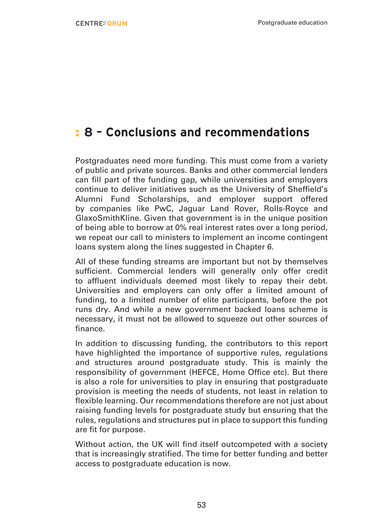## : **8 – Conclusions and recommendations**

Postgraduates need more funding. This must come from a variety of public and private sources. Banks and other commercial lenders can fill part of the funding gap, while universities and employers continue to deliver initiatives such as the University of Sheffield's Alumni Fund Scholarships, and employer support offered by companies like PwC, Jaguar Land Rover, Rolls-Royce and GlaxoSmithKline. Given that government is in the unique position of being able to borrow at 0% real interest rates over a long period, we repeat our call to ministers to implement an income contingent loans system along the lines suggested in Chapter 6.

All of these funding streams are important but not by themselves sufficient. Commercial lenders will generally only offer credit to affluent individuals deemed most likely to repay their debt. Universities and employers can only offer a limited amount of funding, to a limited number of elite participants, before the pot runs dry. And while a new government backed loans scheme is necessary, it must not be allowed to squeeze out other sources of finance.

In addition to discussing funding, the contributors to this report have highlighted the importance of supportive rules, regulations and structures around postgraduate study. This is mainly the responsibility of government (HEFCE, Home Office etc). But there is also a role for universities to play in ensuring that postgraduate provision is meeting the needs of students, not least in relation to flexible learning. Our recommendations therefore are not just about raising funding levels for postgraduate study but ensuring that the rules, regulations and structures put in place to support this funding are fit for purpose.

Without action, the UK will find itself outcompeted with a society that is increasingly stratified. The time for better funding and better access to postgraduate education is now.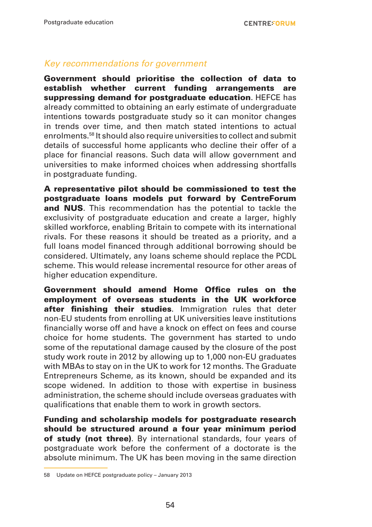#### *Key recommendations for government*

Government should prioritise the collection of data to establish whether current funding arrangements are suppressing demand for postgraduate education. HEFCE has already committed to obtaining an early estimate of undergraduate intentions towards postgraduate study so it can monitor changes in trends over time, and then match stated intentions to actual enrolments.58 It should also require universities to collect and submit details of successful home applicants who decline their offer of a place for financial reasons. Such data will allow government and universities to make informed choices when addressing shortfalls in postgraduate funding.

A representative pilot should be commissioned to test the postgraduate loans models put forward by CentreForum and NUS. This recommendation has the potential to tackle the exclusivity of postgraduate education and create a larger, highly skilled workforce, enabling Britain to compete with its international rivals. For these reasons it should be treated as a priority, and a full loans model financed through additional borrowing should be considered. Ultimately, any loans scheme should replace the PCDL scheme. This would release incremental resource for other areas of higher education expenditure.

Government should amend Home Office rules on the employment of overseas students in the UK workforce after finishing their studies. Immigration rules that deter non-EU students from enrolling at UK universities leave institutions financially worse off and have a knock on effect on fees and course choice for home students. The government has started to undo some of the reputational damage caused by the closure of the post study work route in 2012 by allowing up to 1,000 non-EU graduates with MBAs to stay on in the UK to work for 12 months. The Graduate Entrepreneurs Scheme, as its known, should be expanded and its scope widened. In addition to those with expertise in business administration, the scheme should include overseas graduates with qualifications that enable them to work in growth sectors.

Funding and scholarship models for postgraduate research should be structured around a four year minimum period of study (not three). By international standards, four years of postgraduate work before the conferment of a doctorate is the absolute minimum. The UK has been moving in the same direction

<sup>58</sup> Update on HEFCE postgraduate policy – January 2013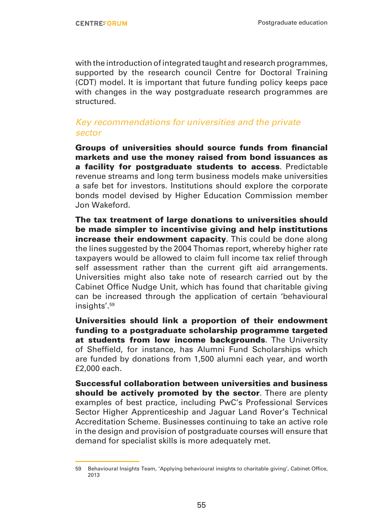with the introduction of integrated taught and research programmes, supported by the research council Centre for Doctoral Training (CDT) model. It is important that future funding policy keeps pace with changes in the way postgraduate research programmes are structured.

#### *Key recommendations for universities and the private sector*

Groups of universities should source funds from financial markets and use the money raised from bond issuances as a facility for postgraduate students to access. Predictable revenue streams and long term business models make universities a safe bet for investors. Institutions should explore the corporate bonds model devised by Higher Education Commission member Jon Wakeford.

The tax treatment of large donations to universities should be made simpler to incentivise giving and help institutions increase their endowment capacity. This could be done along the lines suggested by the 2004 Thomas report, whereby higher rate taxpayers would be allowed to claim full income tax relief through self assessment rather than the current gift aid arrangements. Universities might also take note of research carried out by the Cabinet Office Nudge Unit, which has found that charitable giving can be increased through the application of certain 'behavioural insights'.59

Universities should link a proportion of their endowment funding to a postgraduate scholarship programme targeted at students from low income backgrounds. The University of Sheffield, for instance, has Alumni Fund Scholarships which are funded by donations from 1,500 alumni each year, and worth £2,000 each.

Successful collaboration between universities and business should be actively promoted by the sector. There are plenty examples of best practice, including PwC's Professional Services Sector Higher Apprenticeship and Jaguar Land Rover's Technical Accreditation Scheme. Businesses continuing to take an active role in the design and provision of postgraduate courses will ensure that demand for specialist skills is more adequately met.

<sup>59</sup> Behavioural Insights Team, 'Applying behavioural insights to charitable giving', Cabinet Office, 2013